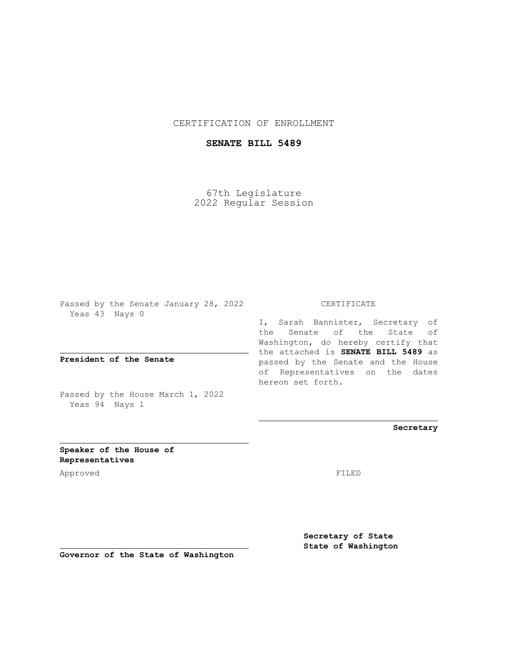## CERTIFICATION OF ENROLLMENT

## **SENATE BILL 5489**

67th Legislature 2022 Regular Session

Passed by the Senate January 28, 2022 Yeas 43 Nays 0

**President of the Senate**

Passed by the House March 1, 2022 Yeas 94 Nays 1

CERTIFICATE

I, Sarah Bannister, Secretary of the Senate of the State of Washington, do hereby certify that the attached is **SENATE BILL 5489** as passed by the Senate and the House of Representatives on the dates hereon set forth.

**Secretary**

**Speaker of the House of Representatives**

Approved FILED

**Secretary of State State of Washington**

**Governor of the State of Washington**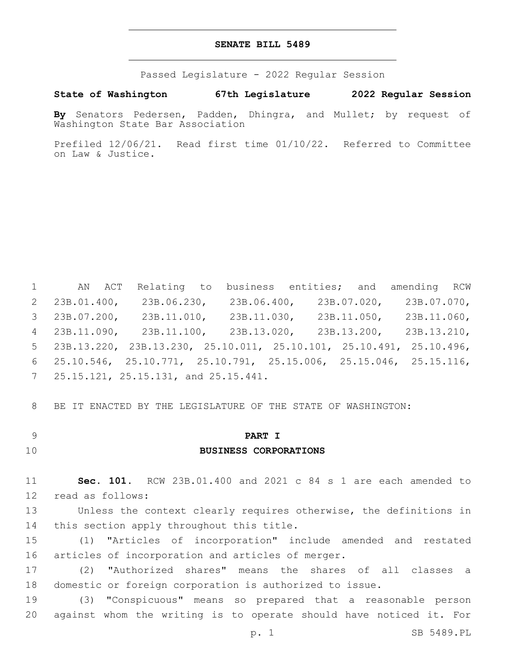#### **SENATE BILL 5489**

Passed Legislature - 2022 Regular Session

**State of Washington 67th Legislature 2022 Regular Session**

**By** Senators Pedersen, Padden, Dhingra, and Mullet; by request of Washington State Bar Association

Prefiled 12/06/21. Read first time 01/10/22. Referred to Committee on Law & Justice.

 AN ACT Relating to business entities; and amending RCW 23B.01.400, 23B.06.230, 23B.06.400, 23B.07.020, 23B.07.070, 23B.07.200, 23B.11.010, 23B.11.030, 23B.11.050, 23B.11.060, 23B.11.090, 23B.11.100, 23B.13.020, 23B.13.200, 23B.13.210, 23B.13.220, 23B.13.230, 25.10.011, 25.10.101, 25.10.491, 25.10.496, 25.10.546, 25.10.771, 25.10.791, 25.15.006, 25.15.046, 25.15.116, 7 25.15.121, 25.15.131, and 25.15.441.

8 BE IT ENACTED BY THE LEGISLATURE OF THE STATE OF WASHINGTON:

9 **PART I**

### 10 **BUSINESS CORPORATIONS**

11 **Sec. 101.** RCW 23B.01.400 and 2021 c 84 s 1 are each amended to 12 read as follows:

13 Unless the context clearly requires otherwise, the definitions in 14 this section apply throughout this title.

15 (1) "Articles of incorporation" include amended and restated 16 articles of incorporation and articles of merger.

17 (2) "Authorized shares" means the shares of all classes a 18 domestic or foreign corporation is authorized to issue.

19 (3) "Conspicuous" means so prepared that a reasonable person 20 against whom the writing is to operate should have noticed it. For

p. 1 SB 5489.PL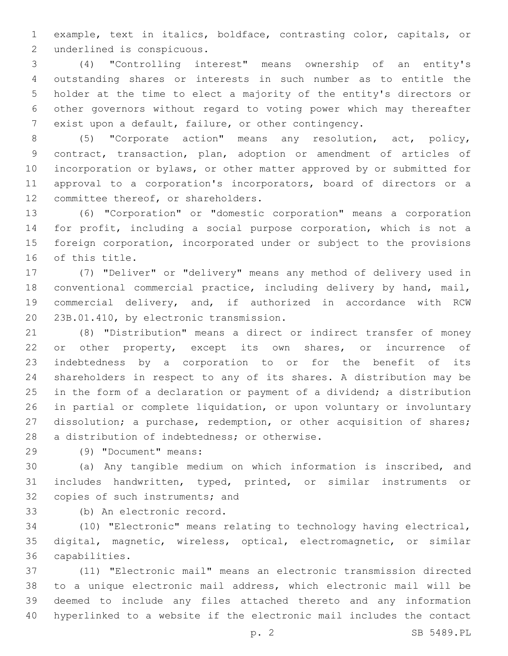example, text in italics, boldface, contrasting color, capitals, or 2 underlined is conspicuous.

 (4) "Controlling interest" means ownership of an entity's outstanding shares or interests in such number as to entitle the holder at the time to elect a majority of the entity's directors or other governors without regard to voting power which may thereafter exist upon a default, failure, or other contingency.

 (5) "Corporate action" means any resolution, act, policy, contract, transaction, plan, adoption or amendment of articles of incorporation or bylaws, or other matter approved by or submitted for approval to a corporation's incorporators, board of directors or a 12 committee thereof, or shareholders.

 (6) "Corporation" or "domestic corporation" means a corporation for profit, including a social purpose corporation, which is not a foreign corporation, incorporated under or subject to the provisions 16 of this title.

 (7) "Deliver" or "delivery" means any method of delivery used in conventional commercial practice, including delivery by hand, mail, commercial delivery, and, if authorized in accordance with RCW 20 23B.01.410, by electronic transmission.

 (8) "Distribution" means a direct or indirect transfer of money 22 or other property, except its own shares, or incurrence of indebtedness by a corporation to or for the benefit of its shareholders in respect to any of its shares. A distribution may be in the form of a declaration or payment of a dividend; a distribution in partial or complete liquidation, or upon voluntary or involuntary 27 dissolution; a purchase, redemption, or other acquisition of shares; 28 a distribution of indebtedness; or otherwise.

(9) "Document" means:29

 (a) Any tangible medium on which information is inscribed, and includes handwritten, typed, printed, or similar instruments or 32 copies of such instruments; and

(b) An electronic record.33

 (10) "Electronic" means relating to technology having electrical, digital, magnetic, wireless, optical, electromagnetic, or similar capabilities.36

 (11) "Electronic mail" means an electronic transmission directed to a unique electronic mail address, which electronic mail will be deemed to include any files attached thereto and any information hyperlinked to a website if the electronic mail includes the contact

p. 2 SB 5489.PL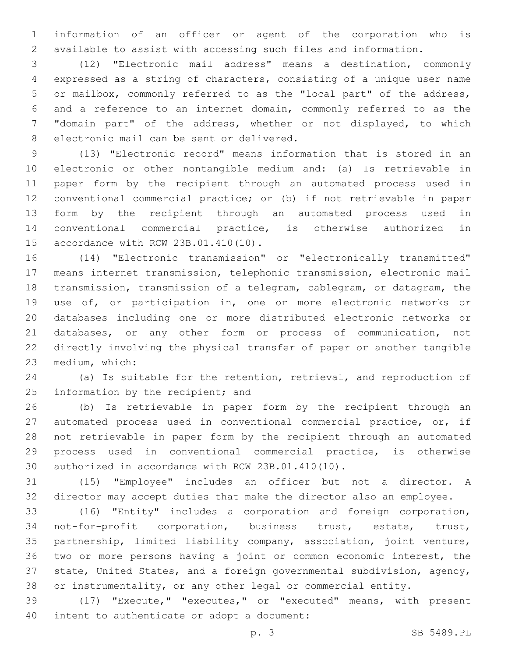information of an officer or agent of the corporation who is available to assist with accessing such files and information.

 (12) "Electronic mail address" means a destination, commonly expressed as a string of characters, consisting of a unique user name or mailbox, commonly referred to as the "local part" of the address, and a reference to an internet domain, commonly referred to as the "domain part" of the address, whether or not displayed, to which 8 electronic mail can be sent or delivered.

 (13) "Electronic record" means information that is stored in an electronic or other nontangible medium and: (a) Is retrievable in paper form by the recipient through an automated process used in conventional commercial practice; or (b) if not retrievable in paper form by the recipient through an automated process used in conventional commercial practice, is otherwise authorized in 15 accordance with RCW 23B.01.410(10).

 (14) "Electronic transmission" or "electronically transmitted" means internet transmission, telephonic transmission, electronic mail transmission, transmission of a telegram, cablegram, or datagram, the use of, or participation in, one or more electronic networks or databases including one or more distributed electronic networks or databases, or any other form or process of communication, not directly involving the physical transfer of paper or another tangible 23 medium, which:

 (a) Is suitable for the retention, retrieval, and reproduction of 25 information by the recipient; and

 (b) Is retrievable in paper form by the recipient through an automated process used in conventional commercial practice, or, if not retrievable in paper form by the recipient through an automated process used in conventional commercial practice, is otherwise 30 authorized in accordance with RCW 23B.01.410(10).

 (15) "Employee" includes an officer but not a director. A director may accept duties that make the director also an employee.

 (16) "Entity" includes a corporation and foreign corporation, not-for-profit corporation, business trust, estate, trust, partnership, limited liability company, association, joint venture, two or more persons having a joint or common economic interest, the state, United States, and a foreign governmental subdivision, agency, or instrumentality, or any other legal or commercial entity.

 (17) "Execute," "executes," or "executed" means, with present 40 intent to authenticate or adopt a document: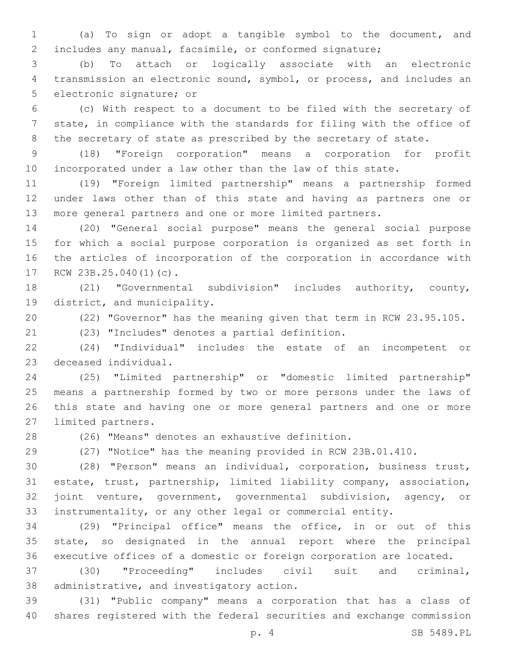(a) To sign or adopt a tangible symbol to the document, and includes any manual, facsimile, or conformed signature;

 (b) To attach or logically associate with an electronic transmission an electronic sound, symbol, or process, and includes an 5 electronic signature; or

 (c) With respect to a document to be filed with the secretary of state, in compliance with the standards for filing with the office of 8 the secretary of state as prescribed by the secretary of state.

 (18) "Foreign corporation" means a corporation for profit incorporated under a law other than the law of this state.

 (19) "Foreign limited partnership" means a partnership formed under laws other than of this state and having as partners one or more general partners and one or more limited partners.

 (20) "General social purpose" means the general social purpose for which a social purpose corporation is organized as set forth in the articles of incorporation of the corporation in accordance with 17 RCW 23B.25.040(1)(c).

 (21) "Governmental subdivision" includes authority, county, 19 district, and municipality.

(22) "Governor" has the meaning given that term in RCW 23.95.105.

(23) "Includes" denotes a partial definition.21

 (24) "Individual" includes the estate of an incompetent or 23 deceased individual.

 (25) "Limited partnership" or "domestic limited partnership" means a partnership formed by two or more persons under the laws of this state and having one or more general partners and one or more 27 limited partners.

(26) "Means" denotes an exhaustive definition.

(27) "Notice" has the meaning provided in RCW 23B.01.410.

 (28) "Person" means an individual, corporation, business trust, estate, trust, partnership, limited liability company, association, joint venture, government, governmental subdivision, agency, or instrumentality, or any other legal or commercial entity.

 (29) "Principal office" means the office, in or out of this state, so designated in the annual report where the principal executive offices of a domestic or foreign corporation are located.

 (30) "Proceeding" includes civil suit and criminal, 38 administrative, and investigatory action.

 (31) "Public company" means a corporation that has a class of shares registered with the federal securities and exchange commission

p. 4 SB 5489.PL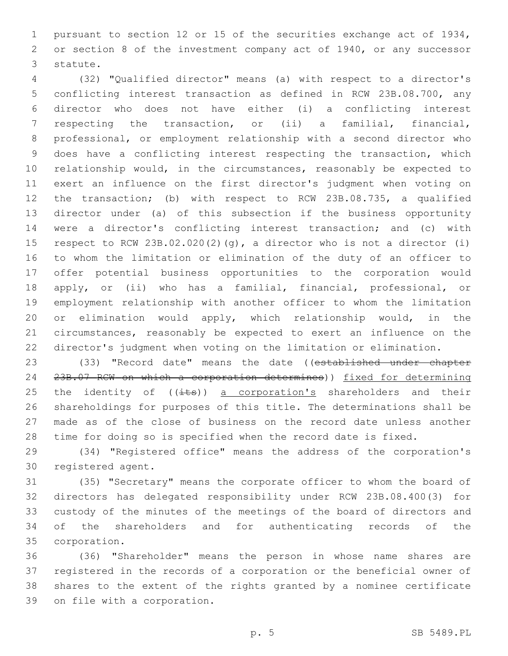pursuant to section 12 or 15 of the securities exchange act of 1934, or section 8 of the investment company act of 1940, or any successor 3 statute.

 (32) "Qualified director" means (a) with respect to a director's conflicting interest transaction as defined in RCW 23B.08.700, any director who does not have either (i) a conflicting interest respecting the transaction, or (ii) a familial, financial, professional, or employment relationship with a second director who does have a conflicting interest respecting the transaction, which relationship would, in the circumstances, reasonably be expected to exert an influence on the first director's judgment when voting on the transaction; (b) with respect to RCW 23B.08.735, a qualified director under (a) of this subsection if the business opportunity were a director's conflicting interest transaction; and (c) with 15 respect to RCW 23B.02.020(2)(g), a director who is not a director (i) to whom the limitation or elimination of the duty of an officer to offer potential business opportunities to the corporation would apply, or (ii) who has a familial, financial, professional, or employment relationship with another officer to whom the limitation or elimination would apply, which relationship would, in the circumstances, reasonably be expected to exert an influence on the director's judgment when voting on the limitation or elimination.

23 (33) "Record date" means the date ((established under chapter 23B.07 RCW on which a corporation determines)) fixed for determining 25 the identity of  $((i$ ts)) a corporation's shareholders and their shareholdings for purposes of this title. The determinations shall be made as of the close of business on the record date unless another time for doing so is specified when the record date is fixed.

 (34) "Registered office" means the address of the corporation's 30 registered agent.

 (35) "Secretary" means the corporate officer to whom the board of directors has delegated responsibility under RCW 23B.08.400(3) for custody of the minutes of the meetings of the board of directors and of the shareholders and for authenticating records of the corporation.35

 (36) "Shareholder" means the person in whose name shares are registered in the records of a corporation or the beneficial owner of shares to the extent of the rights granted by a nominee certificate 39 on file with a corporation.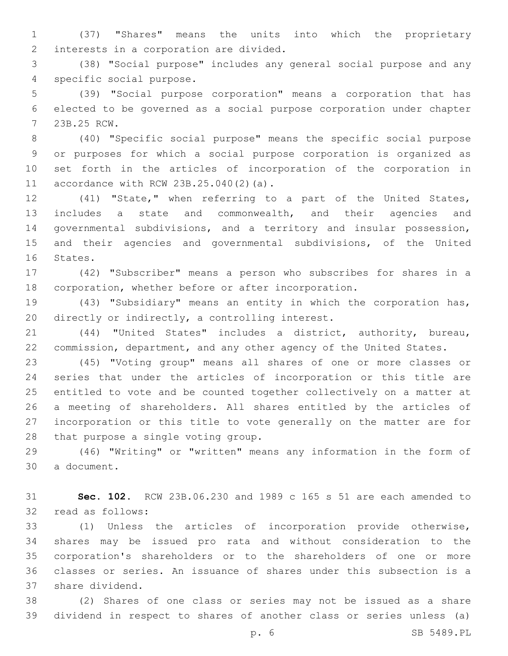(37) "Shares" means the units into which the proprietary 2 interests in a corporation are divided.

 (38) "Social purpose" includes any general social purpose and any 4 specific social purpose.

 (39) "Social purpose corporation" means a corporation that has elected to be governed as a social purpose corporation under chapter 23B.25 RCW.7

 (40) "Specific social purpose" means the specific social purpose or purposes for which a social purpose corporation is organized as set forth in the articles of incorporation of the corporation in 11 accordance with RCW  $23B.25.040(2)(a)$ .

 (41) "State," when referring to a part of the United States, includes a state and commonwealth, and their agencies and governmental subdivisions, and a territory and insular possession, and their agencies and governmental subdivisions, of the United 16 States.

 (42) "Subscriber" means a person who subscribes for shares in a corporation, whether before or after incorporation.

 (43) "Subsidiary" means an entity in which the corporation has, 20 directly or indirectly, a controlling interest.

 (44) "United States" includes a district, authority, bureau, 22 commission, department, and any other agency of the United States.

 (45) "Voting group" means all shares of one or more classes or series that under the articles of incorporation or this title are entitled to vote and be counted together collectively on a matter at a meeting of shareholders. All shares entitled by the articles of incorporation or this title to vote generally on the matter are for 28 that purpose a single voting group.

 (46) "Writing" or "written" means any information in the form of 30 a document.

 **Sec. 102.** RCW 23B.06.230 and 1989 c 165 s 51 are each amended to 32 read as follows:

 (1) Unless the articles of incorporation provide otherwise, shares may be issued pro rata and without consideration to the corporation's shareholders or to the shareholders of one or more classes or series. An issuance of shares under this subsection is a 37 share dividend.

 (2) Shares of one class or series may not be issued as a share dividend in respect to shares of another class or series unless (a)

p. 6 SB 5489.PL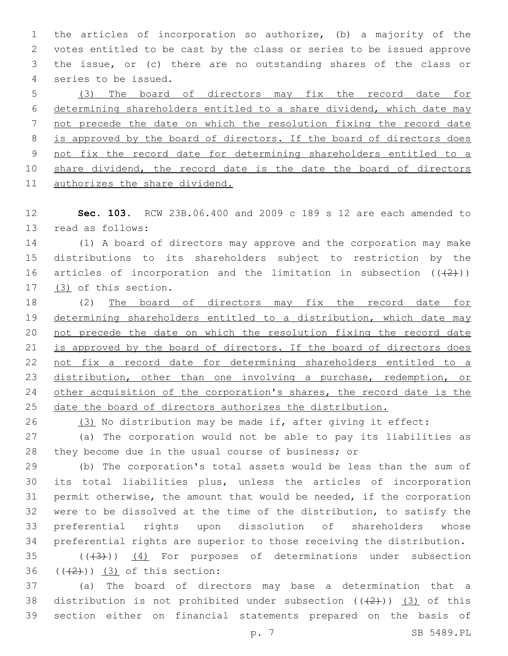the articles of incorporation so authorize, (b) a majority of the votes entitled to be cast by the class or series to be issued approve the issue, or (c) there are no outstanding shares of the class or 4 series to be issued.

 (3) The board of directors may fix the record date for determining shareholders entitled to a share dividend, which date may not precede the date on which the resolution fixing the record date is approved by the board of directors. If the board of directors does not fix the record date for determining shareholders entitled to a 10 share dividend, the record date is the date the board of directors authorizes the share dividend.

 **Sec. 103.** RCW 23B.06.400 and 2009 c 189 s 12 are each amended to 13 read as follows:

 (1) A board of directors may approve and the corporation may make distributions to its shareholders subject to restriction by the 16 articles of incorporation and the limitation in subsection  $((+2+))$ 17 (3) of this section.

 (2) The board of directors may fix the record date for determining shareholders entitled to a distribution, which date may not precede the date on which the resolution fixing the record date is approved by the board of directors. If the board of directors does not fix a record date for determining shareholders entitled to a 23 distribution, other than one involving a purchase, redemption, or 24 other acquisition of the corporation's shares, the record date is the date the board of directors authorizes the distribution.

(3) No distribution may be made if, after giving it effect:

 (a) The corporation would not be able to pay its liabilities as they become due in the usual course of business; or

 (b) The corporation's total assets would be less than the sum of its total liabilities plus, unless the articles of incorporation permit otherwise, the amount that would be needed, if the corporation were to be dissolved at the time of the distribution, to satisfy the preferential rights upon dissolution of shareholders whose preferential rights are superior to those receiving the distribution.

 ( $(\overline{3})$ )  $(4)$  For purposes of determinations under subsection  $(36)(42)$ ) (3) of this section:

 (a) The board of directors may base a determination that a 38 distribution is not prohibited under subsection  $((+2+))$  (3) of this section either on financial statements prepared on the basis of

p. 7 SB 5489.PL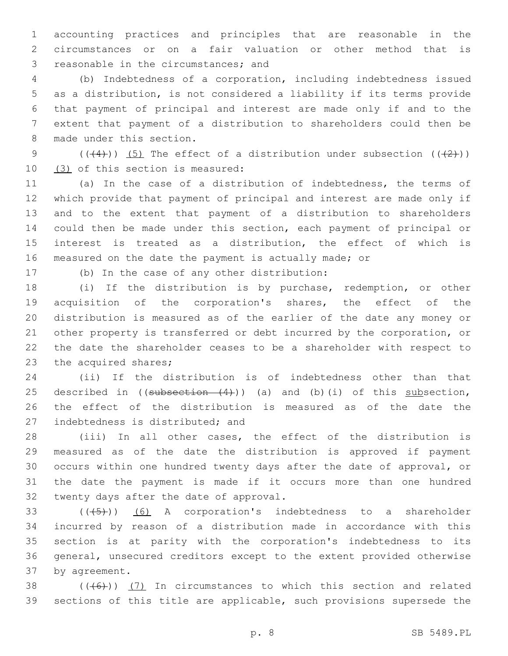accounting practices and principles that are reasonable in the circumstances or on a fair valuation or other method that is 3 reasonable in the circumstances; and

 (b) Indebtedness of a corporation, including indebtedness issued as a distribution, is not considered a liability if its terms provide that payment of principal and interest are made only if and to the extent that payment of a distribution to shareholders could then be 8 made under this section.

9 ( $(\frac{4}{2})$ ) (5) The effect of a distribution under subsection ( $(\frac{2}{2})$ )  $(3)$  of this section is measured:

 (a) In the case of a distribution of indebtedness, the terms of which provide that payment of principal and interest are made only if and to the extent that payment of a distribution to shareholders could then be made under this section, each payment of principal or interest is treated as a distribution, the effect of which is measured on the date the payment is actually made; or

17 (b) In the case of any other distribution:

 (i) If the distribution is by purchase, redemption, or other acquisition of the corporation's shares, the effect of the distribution is measured as of the earlier of the date any money or other property is transferred or debt incurred by the corporation, or the date the shareholder ceases to be a shareholder with respect to 23 the acquired shares;

 (ii) If the distribution is of indebtedness other than that 25 described in  $((\text{subsection} - (4))))$  (a) and (b)(i) of this subsection, the effect of the distribution is measured as of the date the 27 indebtedness is distributed; and

 (iii) In all other cases, the effect of the distribution is measured as of the date the distribution is approved if payment occurs within one hundred twenty days after the date of approval, or the date the payment is made if it occurs more than one hundred 32 twenty days after the date of approval.

 $((+5+))$   $(6)$  A corporation's indebtedness to a shareholder incurred by reason of a distribution made in accordance with this section is at parity with the corporation's indebtedness to its general, unsecured creditors except to the extent provided otherwise 37 by agreement.

38  $((+6))$   $(7)$  In circumstances to which this section and related sections of this title are applicable, such provisions supersede the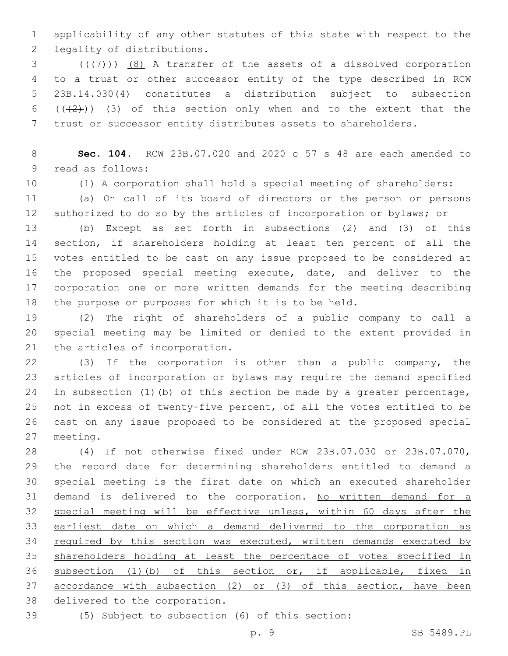applicability of any other statutes of this state with respect to the 2 legality of distributions.

 ( $(\overline{+7})$ )  $\overline{8}$ ) A transfer of the assets of a dissolved corporation to a trust or other successor entity of the type described in RCW 23B.14.030(4) constitutes a distribution subject to subsection  $((+2+))$   $(3)$  of this section only when and to the extent that the trust or successor entity distributes assets to shareholders.

 **Sec. 104.** RCW 23B.07.020 and 2020 c 57 s 48 are each amended to 9 read as follows:

(1) A corporation shall hold a special meeting of shareholders:

 (a) On call of its board of directors or the person or persons authorized to do so by the articles of incorporation or bylaws; or

 (b) Except as set forth in subsections (2) and (3) of this section, if shareholders holding at least ten percent of all the votes entitled to be cast on any issue proposed to be considered at the proposed special meeting execute, date, and deliver to the corporation one or more written demands for the meeting describing the purpose or purposes for which it is to be held.

 (2) The right of shareholders of a public company to call a special meeting may be limited or denied to the extent provided in 21 the articles of incorporation.

 (3) If the corporation is other than a public company, the articles of incorporation or bylaws may require the demand specified in subsection (1)(b) of this section be made by a greater percentage, not in excess of twenty-five percent, of all the votes entitled to be cast on any issue proposed to be considered at the proposed special 27 meeting.

 (4) If not otherwise fixed under RCW 23B.07.030 or 23B.07.070, the record date for determining shareholders entitled to demand a special meeting is the first date on which an executed shareholder 31 demand is delivered to the corporation. No written demand for a special meeting will be effective unless, within 60 days after the earliest date on which a demand delivered to the corporation as 34 required by this section was executed, written demands executed by 35 shareholders holding at least the percentage of votes specified in subsection (1)(b) of this section or, if applicable, fixed in accordance with subsection (2) or (3) of this section, have been delivered to the corporation.

(5) Subject to subsection (6) of this section: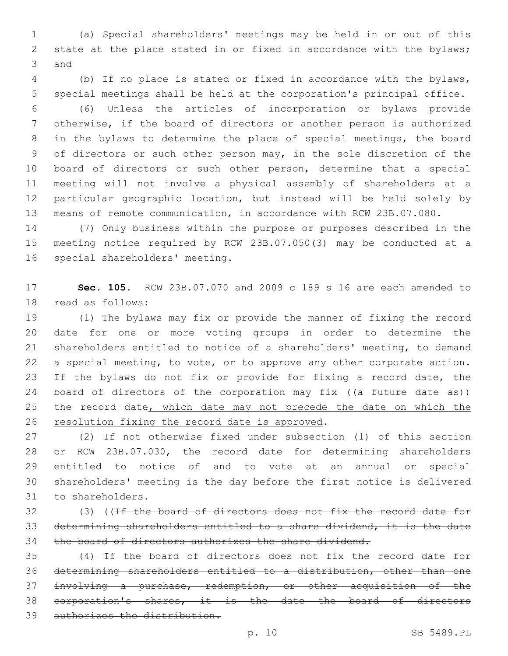(a) Special shareholders' meetings may be held in or out of this state at the place stated in or fixed in accordance with the bylaws; 3 and

 (b) If no place is stated or fixed in accordance with the bylaws, special meetings shall be held at the corporation's principal office.

 (6) Unless the articles of incorporation or bylaws provide otherwise, if the board of directors or another person is authorized in the bylaws to determine the place of special meetings, the board of directors or such other person may, in the sole discretion of the board of directors or such other person, determine that a special meeting will not involve a physical assembly of shareholders at a particular geographic location, but instead will be held solely by means of remote communication, in accordance with RCW 23B.07.080.

 (7) Only business within the purpose or purposes described in the meeting notice required by RCW 23B.07.050(3) may be conducted at a 16 special shareholders' meeting.

 **Sec. 105.** RCW 23B.07.070 and 2009 c 189 s 16 are each amended to 18 read as follows:

 (1) The bylaws may fix or provide the manner of fixing the record date for one or more voting groups in order to determine the shareholders entitled to notice of a shareholders' meeting, to demand a special meeting, to vote, or to approve any other corporate action. If the bylaws do not fix or provide for fixing a record date, the 24 board of directors of the corporation may fix ((a future date as)) 25 the record date, which date may not precede the date on which the 26 resolution fixing the record date is approved.

 (2) If not otherwise fixed under subsection (1) of this section or RCW 23B.07.030, the record date for determining shareholders entitled to notice of and to vote at an annual or special shareholders' meeting is the day before the first notice is delivered 31 to shareholders.

32 (3) ((If the board of directors does not fix the record date for determining shareholders entitled to a share dividend, it is the date 34 the board of directors authorizes the share dividend.

 (4) If the board of directors does not fix the record date for determining shareholders entitled to a distribution, other than one involving a purchase, redemption, or other acquisition of the corporation's shares, it is the date the board of directors authorizes the distribution.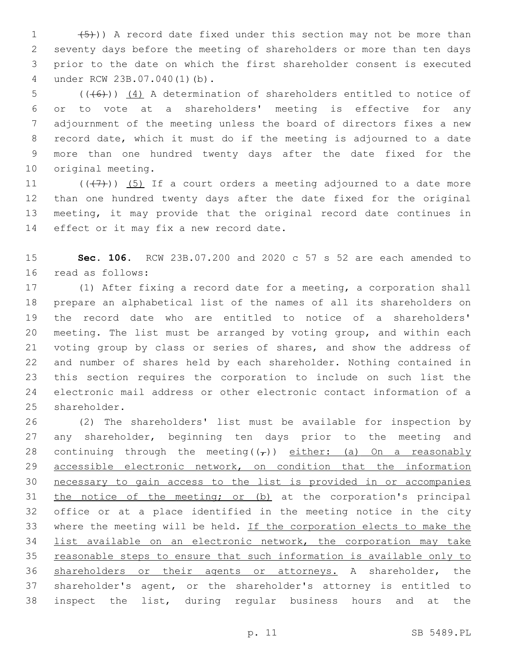$(5)$ )) A record date fixed under this section may not be more than seventy days before the meeting of shareholders or more than ten days prior to the date on which the first shareholder consent is executed under RCW 23B.07.040(1)(b).4

 $(1+6)$  (( $(4)$ ) (4) A determination of shareholders entitled to notice of or to vote at a shareholders' meeting is effective for any adjournment of the meeting unless the board of directors fixes a new record date, which it must do if the meeting is adjourned to a date more than one hundred twenty days after the date fixed for the 10 original meeting.

 $((+7+))$  (5) If a court orders a meeting adjourned to a date more than one hundred twenty days after the date fixed for the original meeting, it may provide that the original record date continues in 14 effect or it may fix a new record date.

 **Sec. 106.** RCW 23B.07.200 and 2020 c 57 s 52 are each amended to 16 read as follows:

 (1) After fixing a record date for a meeting, a corporation shall prepare an alphabetical list of the names of all its shareholders on the record date who are entitled to notice of a shareholders' meeting. The list must be arranged by voting group, and within each voting group by class or series of shares, and show the address of and number of shares held by each shareholder. Nothing contained in this section requires the corporation to include on such list the electronic mail address or other electronic contact information of a 25 shareholder.

 (2) The shareholders' list must be available for inspection by any shareholder, beginning ten days prior to the meeting and 28 continuing through the meeting( $(\tau)$ ) either: (a) On a reasonably 29 accessible electronic network, on condition that the information necessary to gain access to the list is provided in or accompanies 31 the notice of the meeting; or (b) at the corporation's principal office or at a place identified in the meeting notice in the city where the meeting will be held. If the corporation elects to make the 34 list available on an electronic network, the corporation may take reasonable steps to ensure that such information is available only to shareholders or their agents or attorneys. A shareholder, the shareholder's agent, or the shareholder's attorney is entitled to inspect the list, during regular business hours and at the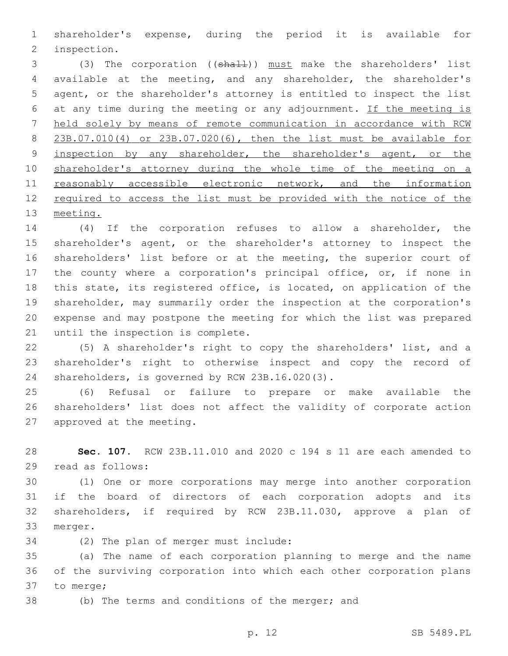shareholder's expense, during the period it is available for 2 inspection.

3 (3) The corporation ((shall)) must make the shareholders' list available at the meeting, and any shareholder, the shareholder's agent, or the shareholder's attorney is entitled to inspect the list at any time during the meeting or any adjournment. If the meeting is held solely by means of remote communication in accordance with RCW 23B.07.010(4) or 23B.07.020(6), then the list must be available for 9 inspection by any shareholder, the shareholder's agent, or the shareholder's attorney during the whole time of the meeting on a 11 reasonably accessible electronic network, and the information 12 required to access the list must be provided with the notice of the meeting.

 (4) If the corporation refuses to allow a shareholder, the shareholder's agent, or the shareholder's attorney to inspect the shareholders' list before or at the meeting, the superior court of the county where a corporation's principal office, or, if none in this state, its registered office, is located, on application of the shareholder, may summarily order the inspection at the corporation's expense and may postpone the meeting for which the list was prepared 21 until the inspection is complete.

 (5) A shareholder's right to copy the shareholders' list, and a shareholder's right to otherwise inspect and copy the record of 24 shareholders, is governed by RCW 23B.16.020(3).

 (6) Refusal or failure to prepare or make available the shareholders' list does not affect the validity of corporate action 27 approved at the meeting.

 **Sec. 107.** RCW 23B.11.010 and 2020 c 194 s 11 are each amended to 29 read as follows:

 (1) One or more corporations may merge into another corporation if the board of directors of each corporation adopts and its shareholders, if required by RCW 23B.11.030, approve a plan of 33 merger.

34 (2) The plan of merger must include:

 (a) The name of each corporation planning to merge and the name of the surviving corporation into which each other corporation plans 37 to merge;

(b) The terms and conditions of the merger; and

p. 12 SB 5489.PL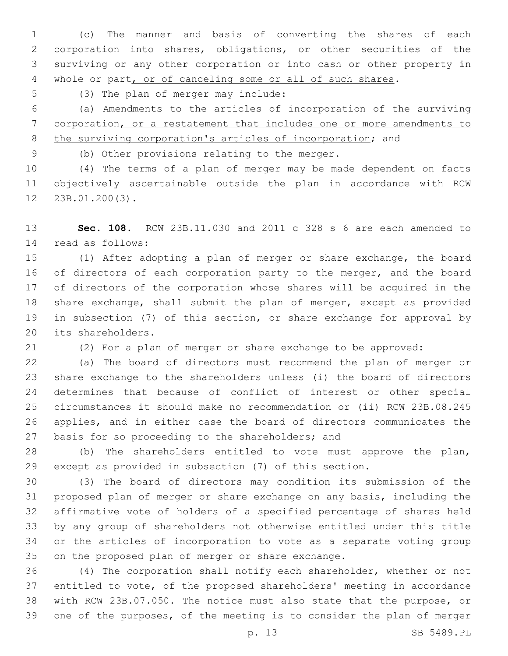(c) The manner and basis of converting the shares of each corporation into shares, obligations, or other securities of the surviving or any other corporation or into cash or other property in whole or part, or of canceling some or all of such shares.

5 (3) The plan of merger may include:

 (a) Amendments to the articles of incorporation of the surviving corporation, or a restatement that includes one or more amendments to the surviving corporation's articles of incorporation; and

9 (b) Other provisions relating to the merger.

 (4) The terms of a plan of merger may be made dependent on facts objectively ascertainable outside the plan in accordance with RCW 23B.01.200(3).12

 **Sec. 108.** RCW 23B.11.030 and 2011 c 328 s 6 are each amended to read as follows:14

 (1) After adopting a plan of merger or share exchange, the board 16 of directors of each corporation party to the merger, and the board of directors of the corporation whose shares will be acquired in the share exchange, shall submit the plan of merger, except as provided in subsection (7) of this section, or share exchange for approval by 20 its shareholders.

(2) For a plan of merger or share exchange to be approved:

 (a) The board of directors must recommend the plan of merger or share exchange to the shareholders unless (i) the board of directors determines that because of conflict of interest or other special circumstances it should make no recommendation or (ii) RCW 23B.08.245 applies, and in either case the board of directors communicates the 27 basis for so proceeding to the shareholders; and

 (b) The shareholders entitled to vote must approve the plan, except as provided in subsection (7) of this section.

 (3) The board of directors may condition its submission of the proposed plan of merger or share exchange on any basis, including the affirmative vote of holders of a specified percentage of shares held by any group of shareholders not otherwise entitled under this title or the articles of incorporation to vote as a separate voting group 35 on the proposed plan of merger or share exchange.

 (4) The corporation shall notify each shareholder, whether or not entitled to vote, of the proposed shareholders' meeting in accordance with RCW 23B.07.050. The notice must also state that the purpose, or one of the purposes, of the meeting is to consider the plan of merger

p. 13 SB 5489.PL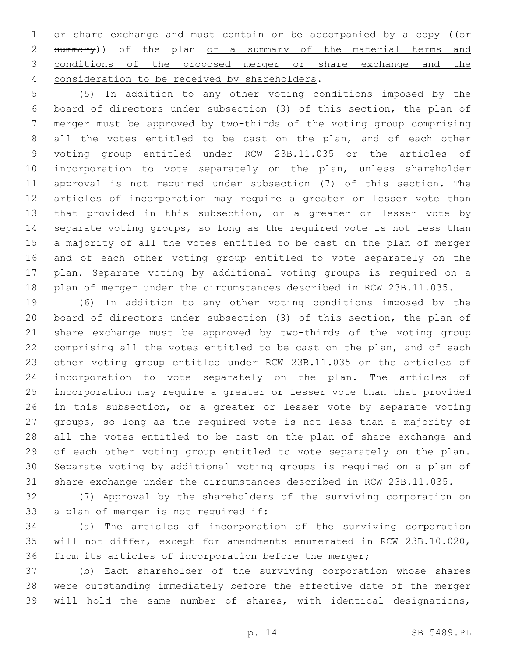1 or share exchange and must contain or be accompanied by a copy ( $(e<sup>F</sup>)$ 2 summary)) of the plan or a summary of the material terms and conditions of the proposed merger or share exchange and the 4 consideration to be received by shareholders.

 (5) In addition to any other voting conditions imposed by the board of directors under subsection (3) of this section, the plan of merger must be approved by two-thirds of the voting group comprising all the votes entitled to be cast on the plan, and of each other voting group entitled under RCW 23B.11.035 or the articles of incorporation to vote separately on the plan, unless shareholder approval is not required under subsection (7) of this section. The articles of incorporation may require a greater or lesser vote than that provided in this subsection, or a greater or lesser vote by separate voting groups, so long as the required vote is not less than a majority of all the votes entitled to be cast on the plan of merger and of each other voting group entitled to vote separately on the plan. Separate voting by additional voting groups is required on a plan of merger under the circumstances described in RCW 23B.11.035.

 (6) In addition to any other voting conditions imposed by the board of directors under subsection (3) of this section, the plan of share exchange must be approved by two-thirds of the voting group comprising all the votes entitled to be cast on the plan, and of each other voting group entitled under RCW 23B.11.035 or the articles of incorporation to vote separately on the plan. The articles of incorporation may require a greater or lesser vote than that provided in this subsection, or a greater or lesser vote by separate voting groups, so long as the required vote is not less than a majority of all the votes entitled to be cast on the plan of share exchange and of each other voting group entitled to vote separately on the plan. Separate voting by additional voting groups is required on a plan of share exchange under the circumstances described in RCW 23B.11.035.

 (7) Approval by the shareholders of the surviving corporation on 33 a plan of merger is not required if:

 (a) The articles of incorporation of the surviving corporation will not differ, except for amendments enumerated in RCW 23B.10.020, from its articles of incorporation before the merger;

 (b) Each shareholder of the surviving corporation whose shares were outstanding immediately before the effective date of the merger will hold the same number of shares, with identical designations,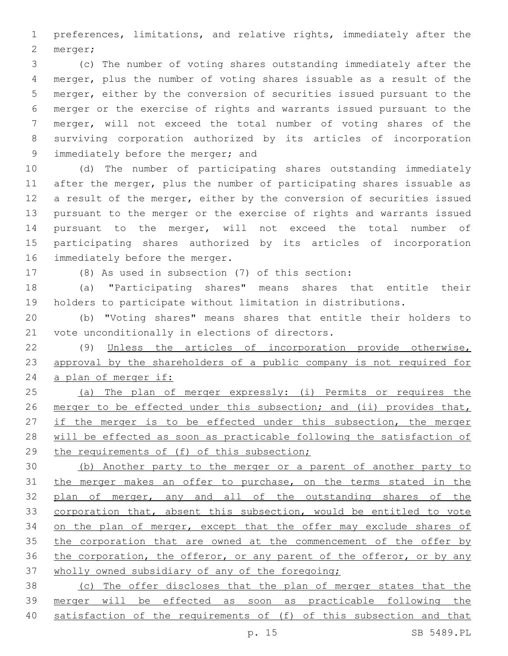preferences, limitations, and relative rights, immediately after the 2 merger;

 (c) The number of voting shares outstanding immediately after the merger, plus the number of voting shares issuable as a result of the merger, either by the conversion of securities issued pursuant to the merger or the exercise of rights and warrants issued pursuant to the merger, will not exceed the total number of voting shares of the surviving corporation authorized by its articles of incorporation 9 immediately before the merger; and

 (d) The number of participating shares outstanding immediately after the merger, plus the number of participating shares issuable as a result of the merger, either by the conversion of securities issued pursuant to the merger or the exercise of rights and warrants issued pursuant to the merger, will not exceed the total number of participating shares authorized by its articles of incorporation 16 immediately before the merger.

(8) As used in subsection (7) of this section:

 (a) "Participating shares" means shares that entitle their holders to participate without limitation in distributions.

 (b) "Voting shares" means shares that entitle their holders to 21 vote unconditionally in elections of directors.

 (9) Unless the articles of incorporation provide otherwise, approval by the shareholders of a public company is not required for 24 a plan of merger if:

 (a) The plan of merger expressly: (i) Permits or requires the 26 merger to be effected under this subsection; and (ii) provides that, 27 if the merger is to be effected under this subsection, the merger will be effected as soon as practicable following the satisfaction of 29 the requirements of (f) of this subsection;

 (b) Another party to the merger or a parent of another party to the merger makes an offer to purchase, on the terms stated in the 32 plan of merger, any and all of the outstanding shares of the corporation that, absent this subsection, would be entitled to vote 34 on the plan of merger, except that the offer may exclude shares of 35 the corporation that are owned at the commencement of the offer by 36 the corporation, the offeror, or any parent of the offeror, or by any wholly owned subsidiary of any of the foregoing;

 (c) The offer discloses that the plan of merger states that the merger will be effected as soon as practicable following the satisfaction of the requirements of (f) of this subsection and that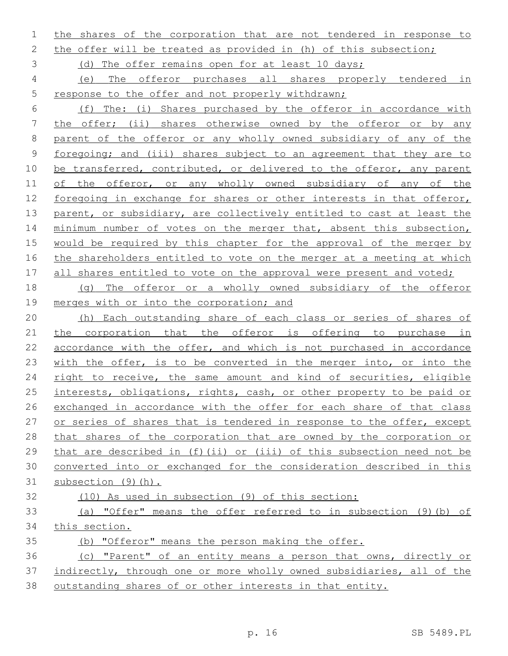the shares of the corporation that are not tendered in response to

the offer will be treated as provided in (h) of this subsection;

(d) The offer remains open for at least 10 days;

 (e) The offeror purchases all shares properly tendered in response to the offer and not properly withdrawn;

 (f) The: (i) Shares purchased by the offeror in accordance with the offer; (ii) shares otherwise owned by the offeror or by any 8 parent of the offeror or any wholly owned subsidiary of any of the foregoing; and (iii) shares subject to an agreement that they are to 10 be transferred, contributed, or delivered to the offeror, any parent 11 of the offeror, or any wholly owned subsidiary of any of the foregoing in exchange for shares or other interests in that offeror, 13 parent, or subsidiary, are collectively entitled to cast at least the 14 minimum number of votes on the merger that, absent this subsection, would be required by this chapter for the approval of the merger by the shareholders entitled to vote on the merger at a meeting at which 17 all shares entitled to vote on the approval were present and voted;

 (g) The offeror or a wholly owned subsidiary of the offeror 19 merges with or into the corporation; and

 (h) Each outstanding share of each class or series of shares of 21 the corporation that the offeror is offering to purchase in accordance with the offer, and which is not purchased in accordance with the offer, is to be converted in the merger into, or into the right to receive, the same amount and kind of securities, eligible 25 interests, obligations, rights, cash, or other property to be paid or exchanged in accordance with the offer for each share of that class or series of shares that is tendered in response to the offer, except that shares of the corporation that are owned by the corporation or that are described in (f)(ii) or (iii) of this subsection need not be converted into or exchanged for the consideration described in this subsection (9)(h).

(10) As used in subsection (9) of this section:

 (a) "Offer" means the offer referred to in subsection (9)(b) of this section.

(b) "Offeror" means the person making the offer.

 (c) "Parent" of an entity means a person that owns, directly or indirectly, through one or more wholly owned subsidiaries, all of the outstanding shares of or other interests in that entity.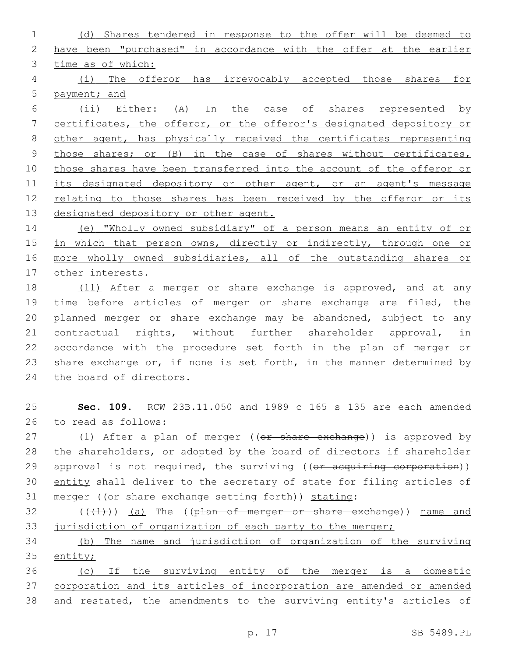(d) Shares tendered in response to the offer will be deemed to have been "purchased" in accordance with the offer at the earlier time as of which: (i) The offeror has irrevocably accepted those shares for payment; and (ii) Either: (A) In the case of shares represented by certificates, the offeror, or the offeror's designated depository or other agent, has physically received the certificates representing those shares; or (B) in the case of shares without certificates, those shares have been transferred into the account of the offeror or 11 its designated depository or other agent, or an agent's message relating to those shares has been received by the offeror or its 13 designated depository or other agent. (e) "Wholly owned subsidiary" of a person means an entity of or

15 in which that person owns, directly or indirectly, through one or more wholly owned subsidiaries, all of the outstanding shares or other interests.

18 (11) After a merger or share exchange is approved, and at any time before articles of merger or share exchange are filed, the planned merger or share exchange may be abandoned, subject to any contractual rights, without further shareholder approval, in accordance with the procedure set forth in the plan of merger or share exchange or, if none is set forth, in the manner determined by 24 the board of directors.

 **Sec. 109.** RCW 23B.11.050 and 1989 c 165 s 135 are each amended 26 to read as follows:

27 (1) After a plan of merger ((or share exchange)) is approved by the shareholders, or adopted by the board of directors if shareholder 29 approval is not required, the surviving ((or acquiring corporation)) 30 entity shall deliver to the secretary of state for filing articles of 31 merger ((or share exchange setting forth)) stating:

 ( $(\overline{+1})$ ) (a) The ((plan of merger or share exchange)) name and 33 jurisdiction of organization of each party to the merger;

 (b) The name and jurisdiction of organization of the surviving entity;

 (c) If the surviving entity of the merger is a domestic corporation and its articles of incorporation are amended or amended and restated, the amendments to the surviving entity's articles of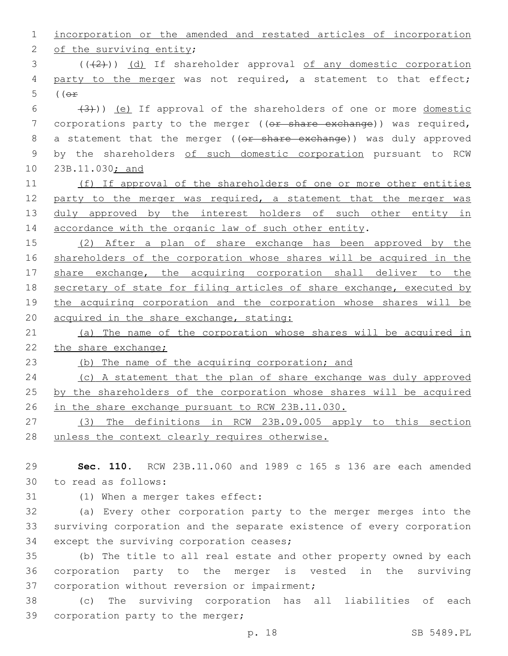| 1            | incorporation or the amended and restated articles of incorporation   |
|--------------|-----------------------------------------------------------------------|
| $\mathbf{2}$ | of the surviving entity;                                              |
| 3            | $((+2+))$ (d) If shareholder approval of any domestic corporation     |
| 4            | party to the merger was not required, a statement to that effect;     |
| 5            | $($ ( $\Theta$ $\hat{r}$ )                                            |
| 6            | $(3)$ ) (e) If approval of the shareholders of one or more domestic   |
| 7            | corporations party to the merger ((or share exchange)) was required,  |
| $\,8\,$      | a statement that the merger ((or share exchange)) was duly approved   |
| $\mathsf 9$  | by the shareholders of such domestic corporation pursuant to RCW      |
| 10           | 23B.11.030; and                                                       |
| 11           | (f) If approval of the shareholders of one or more other entities     |
| 12           | party to the merger was required, a statement that the merger was     |
| 13           | duly approved by the interest holders of such other entity in         |
| 14           | accordance with the organic law of such other entity.                 |
| 15           | (2) After a plan of share exchange has been approved by the           |
| 16           | shareholders of the corporation whose shares will be acquired in the  |
| 17           | share exchange, the acquiring corporation shall deliver to the        |
| 18           | secretary of state for filing articles of share exchange, executed by |
| 19           | the acquiring corporation and the corporation whose shares will be    |
| 20           | acquired in the share exchange, stating:                              |
| 21           | (a) The name of the corporation whose shares will be acquired in      |
| 22           | the share exchange;                                                   |
| 23           | (b) The name of the acquiring corporation; and                        |
| 24           | (c) A statement that the plan of share exchange was duly approved     |
| 25           | by the shareholders of the corporation whose shares will be acquired  |
| 26           | in the share exchange pursuant to RCW 23B.11.030.                     |
| 27           | (3) The definitions in RCW 23B.09.005 apply to this section           |
| 28           | unless the context clearly requires otherwise.                        |
|              |                                                                       |
| 29           | Sec. 110.<br>RCW 23B.11.060 and 1989 c 165 s 136 are each amended     |

to read as follows:30

31 (1) When a merger takes effect:

32 (a) Every other corporation party to the merger merges into the 33 surviving corporation and the separate existence of every corporation 34 except the surviving corporation ceases;

35 (b) The title to all real estate and other property owned by each 36 corporation party to the merger is vested in the surviving 37 corporation without reversion or impairment;

38 (c) The surviving corporation has all liabilities of each 39 corporation party to the merger;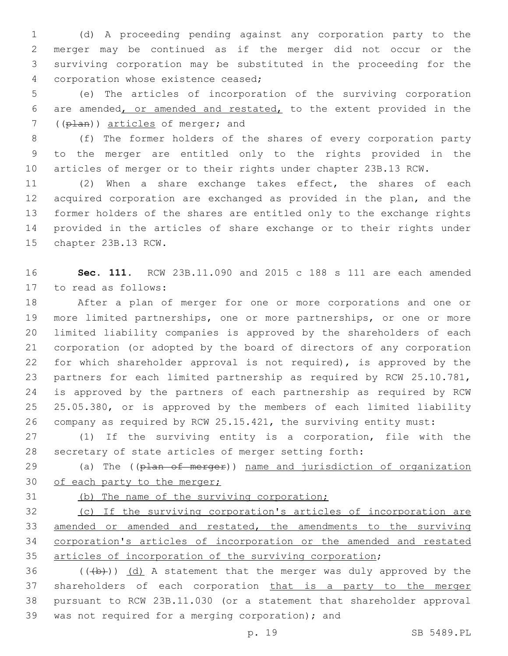(d) A proceeding pending against any corporation party to the merger may be continued as if the merger did not occur or the surviving corporation may be substituted in the proceeding for the 4 corporation whose existence ceased;

 (e) The articles of incorporation of the surviving corporation are amended, or amended and restated, to the extent provided in the 7 ((plan)) articles of merger; and

 (f) The former holders of the shares of every corporation party to the merger are entitled only to the rights provided in the articles of merger or to their rights under chapter 23B.13 RCW.

 (2) When a share exchange takes effect, the shares of each acquired corporation are exchanged as provided in the plan, and the former holders of the shares are entitled only to the exchange rights provided in the articles of share exchange or to their rights under 15 chapter 23B.13 RCW.

 **Sec. 111.** RCW 23B.11.090 and 2015 c 188 s 111 are each amended 17 to read as follows:

 After a plan of merger for one or more corporations and one or more limited partnerships, one or more partnerships, or one or more limited liability companies is approved by the shareholders of each corporation (or adopted by the board of directors of any corporation for which shareholder approval is not required), is approved by the partners for each limited partnership as required by RCW 25.10.781, is approved by the partners of each partnership as required by RCW 25.05.380, or is approved by the members of each limited liability company as required by RCW 25.15.421, the surviving entity must:

 (1) If the surviving entity is a corporation, file with the secretary of state articles of merger setting forth:

29 (a) The ((plan of merger)) name and jurisdiction of organization 30 of each party to the merger;

(b) The name of the surviving corporation;

 (c) If the surviving corporation's articles of incorporation are amended or amended and restated, the amendments to the surviving corporation's articles of incorporation or the amended and restated articles of incorporation of the surviving corporation;

36  $((+b))$   $(d)$  A statement that the merger was duly approved by the 37 shareholders of each corporation that is a party to the merger pursuant to RCW 23B.11.030 (or a statement that shareholder approval 39 was not required for a merging corporation); and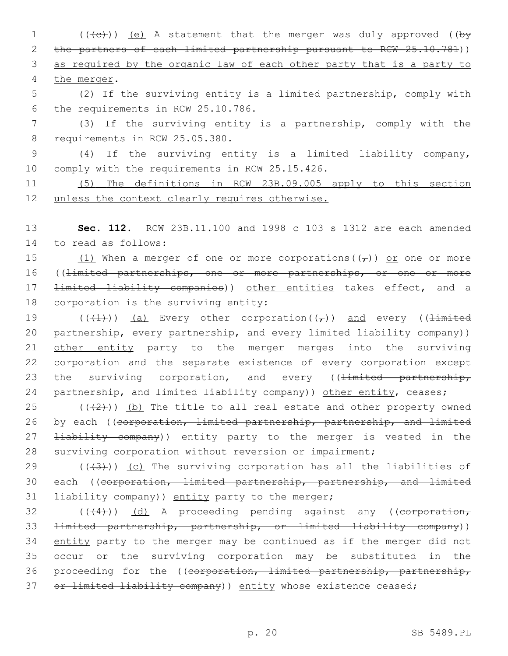1 (((e)) (e) A statement that the merger was duly approved ((by 2 the partners of each limited partnership pursuant to RCW 25.10.781)) 3 as required by the organic law of each other party that is a party to 4 the merger.

5 (2) If the surviving entity is a limited partnership, comply with 6 the requirements in RCW 25.10.786.

7 (3) If the surviving entity is a partnership, comply with the 8 requirements in RCW 25.05.380.

9 (4) If the surviving entity is a limited liability company, 10 comply with the requirements in RCW 25.15.426.

11 (5) The definitions in RCW 23B.09.005 apply to this section 12 unless the context clearly requires otherwise.

13 **Sec. 112.** RCW 23B.11.100 and 1998 c 103 s 1312 are each amended 14 to read as follows:

15 (1) When a merger of one or more corporations( $(\tau)$ ) or one or more 16 ((<del>limited partnerships, one or more partnerships, or one or more</del> 17 <del>limited liability companies</del>)) other entities takes effect, and a 18 corporation is the surviving entity:

19 (( $(1)$ )) (a) Every other corporation( $(\tau)$ ) and every ( $1$ imited 20 partnership, every partnership, and every limited liability company)) 21 other entity party to the merger merges into the surviving 22 corporation and the separate existence of every corporation except 23 the surviving corporation, and every ((<del>limited partnership,</del> 24 partnership, and limited liability company)) other entity, ceases;

25  $((+2+))$  (b) The title to all real estate and other property owned 26 by each ((corporation, limited partnership, partnership, and limited 27 <del>liability company</del>)) entity party to the merger is vested in the 28 surviving corporation without reversion or impairment;

29  $((+3+))$  (c) The surviving corporation has all the liabilities of 30 each ((corporation, limited partnership, partnership, and limited  $11$   $\pm i$ ability company)) entity party to the merger;

 $32$  (( $(4)$ )) (d) A proceeding pending against any ((eorporation, 33 limited partnership, partnership, or limited liability company)) 34 entity party to the merger may be continued as if the merger did not 35 occur or the surviving corporation may be substituted in the 36 proceeding for the ((corporation, limited partnership, partnership, 37 or limited liability company) entity whose existence ceased;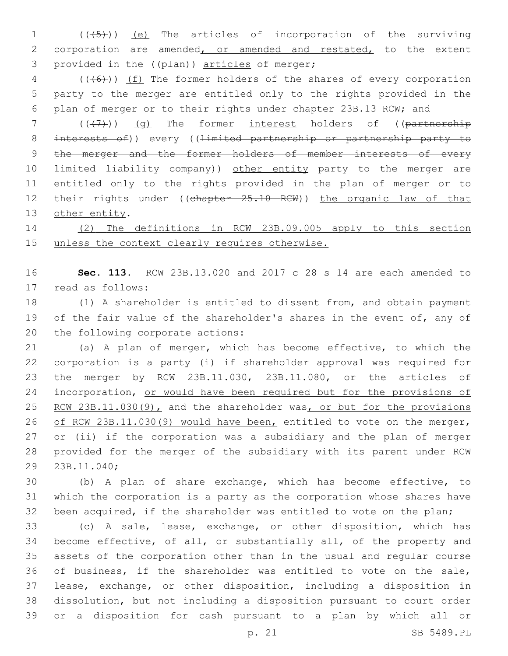1 (( $(45)$ )) (e) The articles of incorporation of the surviving 2 corporation are amended, or amended and restated, to the extent 3 provided in the ((plan)) articles of merger;

4 (((+6))) (f) The former holders of the shares of every corporation 5 party to the merger are entitled only to the rights provided in the 6 plan of merger or to their rights under chapter 23B.13 RCW; and

 $7$  (( $(7)$ )) (q) The former interest holders of (( $\overline{partnership}$ ) 8 interests of)) every ((limited partnership or partnership party to 9 the merger and the former holders of member interests of every 10 <del>limited liability company</del>)) other entity party to the merger are 11 entitled only to the rights provided in the plan of merger or to 12 their rights under ((chapter 25.10 RCW)) the organic law of that 13 other entity.

14 (2) The definitions in RCW 23B.09.005 apply to this section 15 unless the context clearly requires otherwise.

16 **Sec. 113.** RCW 23B.13.020 and 2017 c 28 s 14 are each amended to 17 read as follows:

18 (1) A shareholder is entitled to dissent from, and obtain payment 19 of the fair value of the shareholder's shares in the event of, any of 20 the following corporate actions:

 (a) A plan of merger, which has become effective, to which the corporation is a party (i) if shareholder approval was required for the merger by RCW 23B.11.030, 23B.11.080, or the articles of 24 incorporation, or would have been required but for the provisions of 25 RCW 23B.11.030(9), and the shareholder was, or but for the provisions of RCW 23B.11.030(9) would have been, entitled to vote on the merger, or (ii) if the corporation was a subsidiary and the plan of merger provided for the merger of the subsidiary with its parent under RCW 29 23B.11.040;

30 (b) A plan of share exchange, which has become effective, to 31 which the corporation is a party as the corporation whose shares have 32 been acquired, if the shareholder was entitled to vote on the plan;

 (c) A sale, lease, exchange, or other disposition, which has become effective, of all, or substantially all, of the property and assets of the corporation other than in the usual and regular course of business, if the shareholder was entitled to vote on the sale, lease, exchange, or other disposition, including a disposition in dissolution, but not including a disposition pursuant to court order or a disposition for cash pursuant to a plan by which all or

p. 21 SB 5489.PL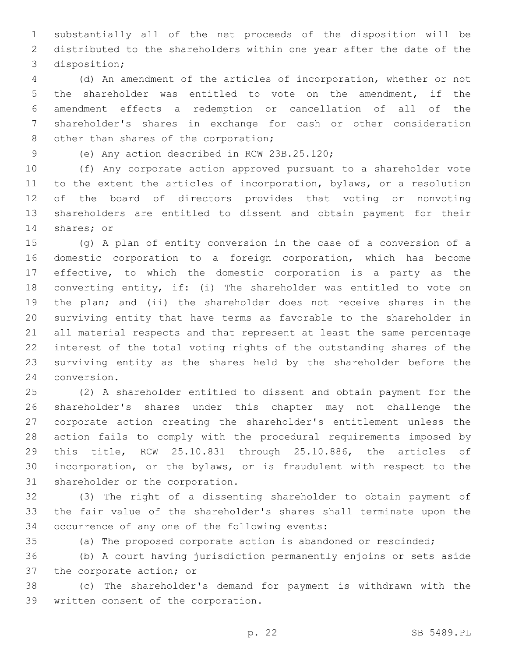substantially all of the net proceeds of the disposition will be distributed to the shareholders within one year after the date of the 3 disposition;

 (d) An amendment of the articles of incorporation, whether or not the shareholder was entitled to vote on the amendment, if the amendment effects a redemption or cancellation of all of the shareholder's shares in exchange for cash or other consideration 8 other than shares of the corporation;

9 (e) Any action described in RCW 23B.25.120;

 (f) Any corporate action approved pursuant to a shareholder vote to the extent the articles of incorporation, bylaws, or a resolution of the board of directors provides that voting or nonvoting shareholders are entitled to dissent and obtain payment for their 14 shares; or

 (g) A plan of entity conversion in the case of a conversion of a domestic corporation to a foreign corporation, which has become effective, to which the domestic corporation is a party as the converting entity, if: (i) The shareholder was entitled to vote on the plan; and (ii) the shareholder does not receive shares in the surviving entity that have terms as favorable to the shareholder in all material respects and that represent at least the same percentage interest of the total voting rights of the outstanding shares of the surviving entity as the shares held by the shareholder before the 24 conversion.

 (2) A shareholder entitled to dissent and obtain payment for the shareholder's shares under this chapter may not challenge the corporate action creating the shareholder's entitlement unless the action fails to comply with the procedural requirements imposed by this title, RCW 25.10.831 through 25.10.886, the articles of incorporation, or the bylaws, or is fraudulent with respect to the 31 shareholder or the corporation.

 (3) The right of a dissenting shareholder to obtain payment of the fair value of the shareholder's shares shall terminate upon the 34 occurrence of any one of the following events:

(a) The proposed corporate action is abandoned or rescinded;

 (b) A court having jurisdiction permanently enjoins or sets aside 37 the corporate action; or

 (c) The shareholder's demand for payment is withdrawn with the 39 written consent of the corporation.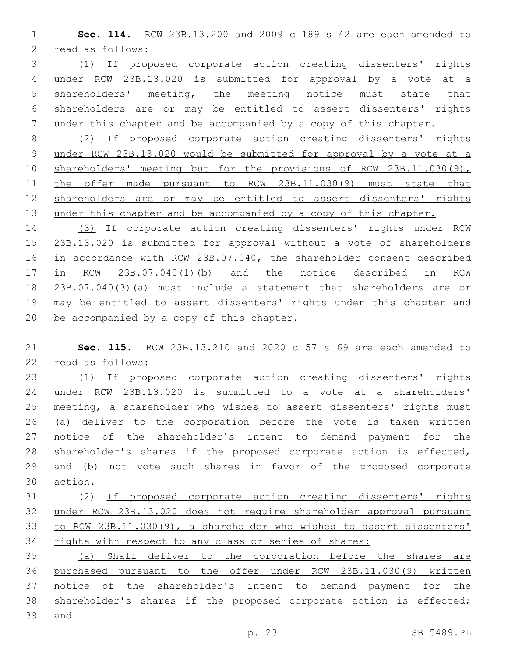**Sec. 114.** RCW 23B.13.200 and 2009 c 189 s 42 are each amended to 2 read as follows:

 (1) If proposed corporate action creating dissenters' rights under RCW 23B.13.020 is submitted for approval by a vote at a shareholders' meeting, the meeting notice must state that shareholders are or may be entitled to assert dissenters' rights under this chapter and be accompanied by a copy of this chapter.

 (2) If proposed corporate action creating dissenters' rights under RCW 23B.13.020 would be submitted for approval by a vote at a 10 shareholders' meeting but for the provisions of RCW 23B.11.030(9), the offer made pursuant to RCW 23B.11.030(9) must state that shareholders are or may be entitled to assert dissenters' rights 13 under this chapter and be accompanied by a copy of this chapter.

 (3) If corporate action creating dissenters' rights under RCW 23B.13.020 is submitted for approval without a vote of shareholders in accordance with RCW 23B.07.040, the shareholder consent described in RCW 23B.07.040(1)(b) and the notice described in RCW 23B.07.040(3)(a) must include a statement that shareholders are or may be entitled to assert dissenters' rights under this chapter and 20 be accompanied by a copy of this chapter.

 **Sec. 115.** RCW 23B.13.210 and 2020 c 57 s 69 are each amended to 22 read as follows:

 (1) If proposed corporate action creating dissenters' rights under RCW 23B.13.020 is submitted to a vote at a shareholders' meeting, a shareholder who wishes to assert dissenters' rights must (a) deliver to the corporation before the vote is taken written notice of the shareholder's intent to demand payment for the shareholder's shares if the proposed corporate action is effected, and (b) not vote such shares in favor of the proposed corporate 30 action.

 (2) If proposed corporate action creating dissenters' rights under RCW 23B.13.020 does not require shareholder approval pursuant to RCW 23B.11.030(9), a shareholder who wishes to assert dissenters' 34 rights with respect to any class or series of shares:

 (a) Shall deliver to the corporation before the shares are purchased pursuant to the offer under RCW 23B.11.030(9) written 37 notice of the shareholder's intent to demand payment for the 38 shareholder's shares if the proposed corporate action is effected;

and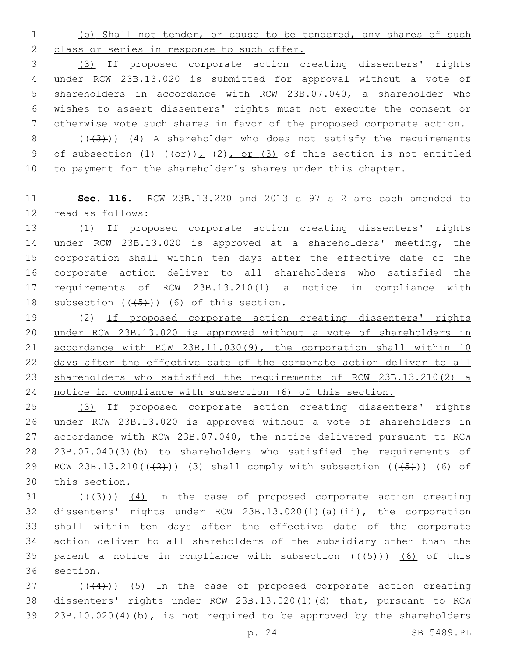(b) Shall not tender, or cause to be tendered, any shares of such 2 class or series in response to such offer.

 (3) If proposed corporate action creating dissenters' rights under RCW 23B.13.020 is submitted for approval without a vote of shareholders in accordance with RCW 23B.07.040, a shareholder who wishes to assert dissenters' rights must not execute the consent or otherwise vote such shares in favor of the proposed corporate action.

8  $((+3))$   $(4)$  A shareholder who does not satisfy the requirements 9 of subsection (1)  $((\theta \oplus))_L$  (2), or (3) of this section is not entitled to payment for the shareholder's shares under this chapter.

 **Sec. 116.** RCW 23B.13.220 and 2013 c 97 s 2 are each amended to 12 read as follows:

 (1) If proposed corporate action creating dissenters' rights under RCW 23B.13.020 is approved at a shareholders' meeting, the corporation shall within ten days after the effective date of the corporate action deliver to all shareholders who satisfied the requirements of RCW 23B.13.210(1) a notice in compliance with 18 subsection  $((+5+))$  (6) of this section.

19 (2) If proposed corporate action creating dissenters' rights under RCW 23B.13.020 is approved without a vote of shareholders in accordance with RCW 23B.11.030(9), the corporation shall within 10 days after the effective date of the corporate action deliver to all shareholders who satisfied the requirements of RCW 23B.13.210(2) a 24 notice in compliance with subsection (6) of this section.

 (3) If proposed corporate action creating dissenters' rights under RCW 23B.13.020 is approved without a vote of shareholders in accordance with RCW 23B.07.040, the notice delivered pursuant to RCW 23B.07.040(3)(b) to shareholders who satisfied the requirements of 29 RCW 23B.13.210( $(2)$ )) (3) shall comply with subsection ( $(45)$ )) (6) of 30 this section.

 ( $(\overline{(+3)}')$ )  $(4)$  In the case of proposed corporate action creating dissenters' rights under RCW 23B.13.020(1)(a)(ii), the corporation shall within ten days after the effective date of the corporate action deliver to all shareholders of the subsidiary other than the 35 parent a notice in compliance with subsection  $((+5+))$  (6) of this 36 section.

37 (((4))) (5) In the case of proposed corporate action creating dissenters' rights under RCW 23B.13.020(1)(d) that, pursuant to RCW 23B.10.020(4)(b), is not required to be approved by the shareholders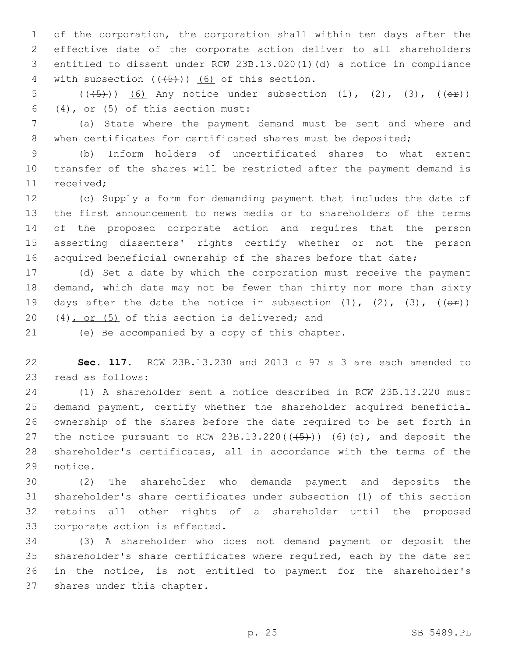of the corporation, the corporation shall within ten days after the effective date of the corporate action deliver to all shareholders entitled to dissent under RCW 23B.13.020(1)(d) a notice in compliance 4 with subsection  $((+5+))$  (6) of this section.

5  $((\frac{45}{}))(6)$  Any notice under subsection  $(1)$ ,  $(2)$ ,  $(3)$ ,  $((\theta \pm))$ 6 (4), or (5) of this section must:

 (a) State where the payment demand must be sent and where and 8 when certificates for certificated shares must be deposited;

 (b) Inform holders of uncertificated shares to what extent transfer of the shares will be restricted after the payment demand is 11 received:

 (c) Supply a form for demanding payment that includes the date of the first announcement to news media or to shareholders of the terms of the proposed corporate action and requires that the person asserting dissenters' rights certify whether or not the person 16 acquired beneficial ownership of the shares before that date;

 (d) Set a date by which the corporation must receive the payment demand, which date may not be fewer than thirty nor more than sixty 19 days after the date the notice in subsection  $(1)$ ,  $(2)$ ,  $(3)$ ,  $(6\hat{r})$ )  $(4)$ , or  $(5)$  of this section is delivered; and

21 (e) Be accompanied by a copy of this chapter.

 **Sec. 117.** RCW 23B.13.230 and 2013 c 97 s 3 are each amended to 23 read as follows:

 (1) A shareholder sent a notice described in RCW 23B.13.220 must demand payment, certify whether the shareholder acquired beneficial ownership of the shares before the date required to be set forth in 27 the notice pursuant to RCW 23B.13.220( $(+5+)$ )  $(6)$  (c), and deposit the shareholder's certificates, all in accordance with the terms of the 29 notice.

 (2) The shareholder who demands payment and deposits the shareholder's share certificates under subsection (1) of this section retains all other rights of a shareholder until the proposed 33 corporate action is effected.

 (3) A shareholder who does not demand payment or deposit the shareholder's share certificates where required, each by the date set in the notice, is not entitled to payment for the shareholder's 37 shares under this chapter.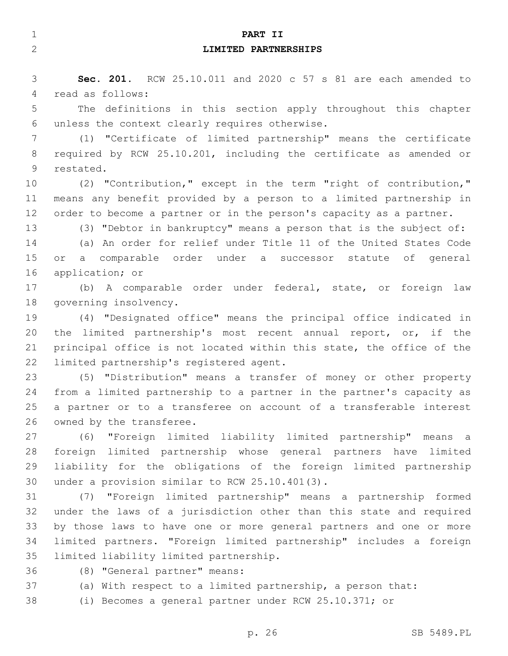| 1            | PART II                                                              |
|--------------|----------------------------------------------------------------------|
| $\mathbf{2}$ | LIMITED PARTNERSHIPS                                                 |
|              |                                                                      |
| 3            | Sec. 201. RCW 25.10.011 and 2020 c 57 s 81 are each amended to       |
| 4            | read as follows:                                                     |
| 5            | The definitions in this section apply throughout this chapter        |
| 6            | unless the context clearly requires otherwise.                       |
| 7            | (1) "Certificate of limited partnership" means the certificate       |
| 8            | required by RCW 25.10.201, including the certificate as amended or   |
| 9            | restated.                                                            |
| 10           | (2) "Contribution," except in the term "right of contribution,"      |
| 11           | means any benefit provided by a person to a limited partnership in   |
| 12           | order to become a partner or in the person's capacity as a partner.  |
| 13           | (3) "Debtor in bankruptcy" means a person that is the subject of:    |
| 14           | (a) An order for relief under Title 11 of the United States Code     |
| 15           | a comparable order under a successor statute of general<br>or.       |
| 16           | application; or                                                      |
| 17           | (b) A comparable order under federal, state, or foreign law          |
| 18           | governing insolvency.                                                |
| 19           | (4) "Designated office" means the principal office indicated in      |
| 20           | the limited partnership's most recent annual report, or, if the      |
| 21           | principal office is not located within this state, the office of the |
| 22           | limited partnership's registered agent.                              |
| 23           | (5) "Distribution" means a transfer of money or other property       |
| 24           | from a limited partnership to a partner in the partner's capacity as |
| 25           | a partner or to a transferee on account of a transferable interest   |
| 26           | owned by the transferee.                                             |
| 27           | "Foreign limited liability limited partnership" means a<br>(6)       |
| 28           | foreign limited partnership whose general partners have limited      |
| 29           | liability for the obligations of the foreign limited partnership     |
| 30           | under a provision similar to RCW 25.10.401(3).                       |
| 31           | (7) "Foreign limited partnership" means a partnership formed         |
| 32           | under the laws of a jurisdiction other than this state and required  |
| 33           | by those laws to have one or more general partners and one or more   |
| 34           | limited partners. "Foreign limited partnership" includes a foreign   |
| 35           | limited liability limited partnership.                               |
| 36           | (8) "General partner" means:                                         |
| 37           | (a) With respect to a limited partnership, a person that:            |
| 38           | (i) Becomes a general partner under RCW 25.10.371; or                |
|              |                                                                      |
|              | p. 26<br>SB 5489.PL                                                  |
|              |                                                                      |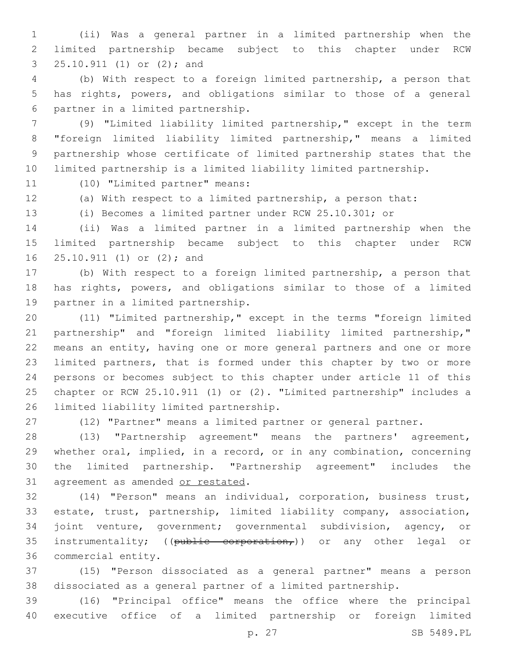(ii) Was a general partner in a limited partnership when the limited partnership became subject to this chapter under RCW 3 25.10.911 (1) or (2); and

 (b) With respect to a foreign limited partnership, a person that has rights, powers, and obligations similar to those of a general partner in a limited partnership.6

 (9) "Limited liability limited partnership," except in the term "foreign limited liability limited partnership," means a limited partnership whose certificate of limited partnership states that the limited partnership is a limited liability limited partnership.

11 (10) "Limited partner" means:

(a) With respect to a limited partnership, a person that:

(i) Becomes a limited partner under RCW 25.10.301; or

 (ii) Was a limited partner in a limited partnership when the limited partnership became subject to this chapter under RCW 16 25.10.911 (1) or (2); and

 (b) With respect to a foreign limited partnership, a person that has rights, powers, and obligations similar to those of a limited 19 partner in a limited partnership.

 (11) "Limited partnership," except in the terms "foreign limited partnership" and "foreign limited liability limited partnership," means an entity, having one or more general partners and one or more limited partners, that is formed under this chapter by two or more persons or becomes subject to this chapter under article 11 of this chapter or RCW 25.10.911 (1) or (2). "Limited partnership" includes a 26 limited liability limited partnership.

(12) "Partner" means a limited partner or general partner.

 (13) "Partnership agreement" means the partners' agreement, whether oral, implied, in a record, or in any combination, concerning the limited partnership. "Partnership agreement" includes the 31 agreement as amended or restated.

 (14) "Person" means an individual, corporation, business trust, estate, trust, partnership, limited liability company, association, joint venture, government; governmental subdivision, agency, or 35 instrumentality; ((public corporation,)) or any other legal or 36 commercial entity.

 (15) "Person dissociated as a general partner" means a person dissociated as a general partner of a limited partnership.

 (16) "Principal office" means the office where the principal executive office of a limited partnership or foreign limited

p. 27 SB 5489.PL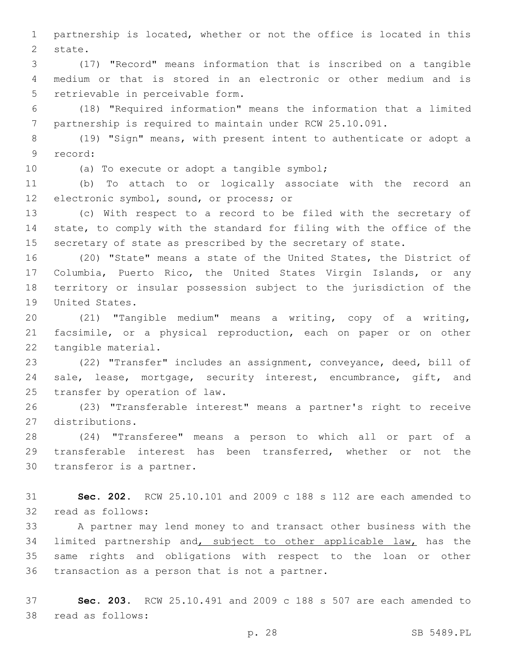partnership is located, whether or not the office is located in this 2 state.

 (17) "Record" means information that is inscribed on a tangible medium or that is stored in an electronic or other medium and is 5 retrievable in perceivable form.

 (18) "Required information" means the information that a limited partnership is required to maintain under RCW 25.10.091.

 (19) "Sign" means, with present intent to authenticate or adopt a 9 record:

10 (a) To execute or adopt a tangible symbol;

 (b) To attach to or logically associate with the record an 12 electronic symbol, sound, or process; or

 (c) With respect to a record to be filed with the secretary of state, to comply with the standard for filing with the office of the secretary of state as prescribed by the secretary of state.

 (20) "State" means a state of the United States, the District of Columbia, Puerto Rico, the United States Virgin Islands, or any territory or insular possession subject to the jurisdiction of the 19 United States.

 (21) "Tangible medium" means a writing, copy of a writing, facsimile, or a physical reproduction, each on paper or on other 22 tangible material.

 (22) "Transfer" includes an assignment, conveyance, deed, bill of sale, lease, mortgage, security interest, encumbrance, gift, and 25 transfer by operation of law.

 (23) "Transferable interest" means a partner's right to receive distributions.27

 (24) "Transferee" means a person to which all or part of a transferable interest has been transferred, whether or not the 30 transferor is a partner.

 **Sec. 202.** RCW 25.10.101 and 2009 c 188 s 112 are each amended to 32 read as follows:

 A partner may lend money to and transact other business with the 34 limited partnership and, subject to other applicable law, has the same rights and obligations with respect to the loan or other 36 transaction as a person that is not a partner.

 **Sec. 203.** RCW 25.10.491 and 2009 c 188 s 507 are each amended to 38 read as follows: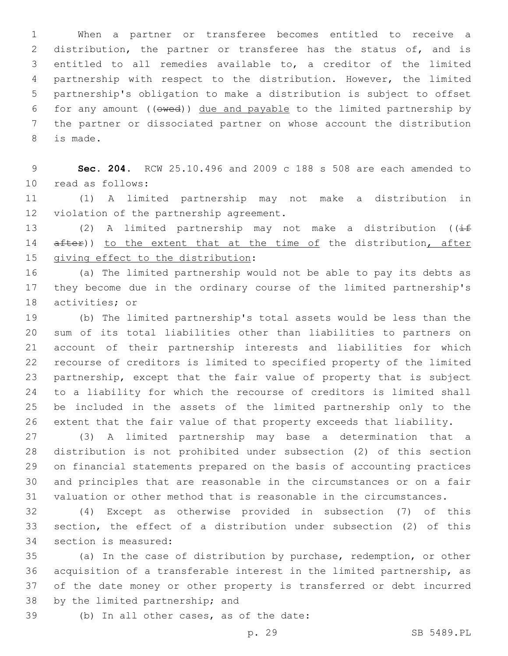When a partner or transferee becomes entitled to receive a distribution, the partner or transferee has the status of, and is entitled to all remedies available to, a creditor of the limited partnership with respect to the distribution. However, the limited partnership's obligation to make a distribution is subject to offset for any amount ((owed)) due and payable to the limited partnership by the partner or dissociated partner on whose account the distribution 8 is made.

 **Sec. 204.** RCW 25.10.496 and 2009 c 188 s 508 are each amended to 10 read as follows:

 (1) A limited partnership may not make a distribution in 12 violation of the partnership agreement.

13 (2) A limited partnership may not make a distribution ( $\sqrt{if}$ 14 after)) to the extent that at the time of the distribution, after 15 giving effect to the distribution:

 (a) The limited partnership would not be able to pay its debts as they become due in the ordinary course of the limited partnership's 18 activities; or

 (b) The limited partnership's total assets would be less than the sum of its total liabilities other than liabilities to partners on account of their partnership interests and liabilities for which recourse of creditors is limited to specified property of the limited partnership, except that the fair value of property that is subject to a liability for which the recourse of creditors is limited shall be included in the assets of the limited partnership only to the extent that the fair value of that property exceeds that liability.

 (3) A limited partnership may base a determination that a distribution is not prohibited under subsection (2) of this section on financial statements prepared on the basis of accounting practices and principles that are reasonable in the circumstances or on a fair valuation or other method that is reasonable in the circumstances.

 (4) Except as otherwise provided in subsection (7) of this section, the effect of a distribution under subsection (2) of this 34 section is measured:

 (a) In the case of distribution by purchase, redemption, or other acquisition of a transferable interest in the limited partnership, as of the date money or other property is transferred or debt incurred 38 by the limited partnership; and

39 (b) In all other cases, as of the date:

p. 29 SB 5489.PL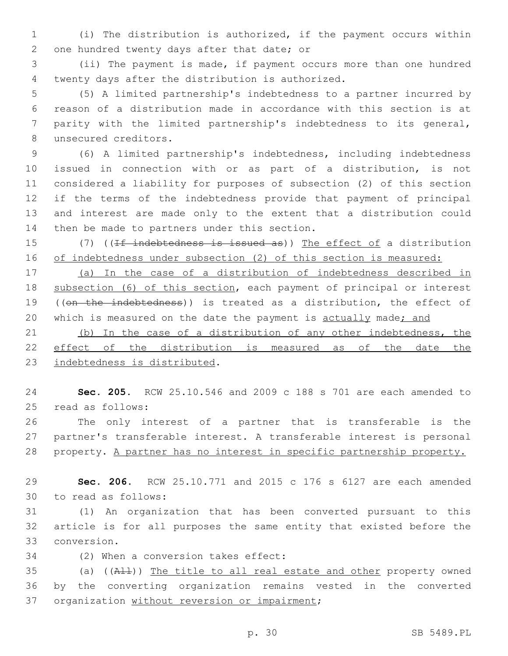1 (i) The distribution is authorized, if the payment occurs within 2 one hundred twenty days after that date; or

3 (ii) The payment is made, if payment occurs more than one hundred twenty days after the distribution is authorized.4

 (5) A limited partnership's indebtedness to a partner incurred by reason of a distribution made in accordance with this section is at parity with the limited partnership's indebtedness to its general, 8 unsecured creditors.

 (6) A limited partnership's indebtedness, including indebtedness issued in connection with or as part of a distribution, is not considered a liability for purposes of subsection (2) of this section if the terms of the indebtedness provide that payment of principal and interest are made only to the extent that a distribution could 14 then be made to partners under this section.

15 (7) ((If indebtedness is issued as)) The effect of a distribution 16 of indebtedness under subsection (2) of this section is measured:

17 (a) In the case of a distribution of indebtedness described in 18 subsection (6) of this section, each payment of principal or interest 19 ((on the indebtedness)) is treated as a distribution, the effect of 20 which is measured on the date the payment is actually made; and

21 (b) In the case of a distribution of any other indebtedness, the 22 effect of the distribution is measured as of the date the 23 indebtedness is distributed.

24 **Sec. 205.** RCW 25.10.546 and 2009 c 188 s 701 are each amended to 25 read as follows:

26 The only interest of a partner that is transferable is the 27 partner's transferable interest. A transferable interest is personal 28 property. A partner has no interest in specific partnership property.

29 **Sec. 206.** RCW 25.10.771 and 2015 c 176 s 6127 are each amended to read as follows:30

31 (1) An organization that has been converted pursuant to this 32 article is for all purposes the same entity that existed before the conversion.33

34 (2) When a conversion takes effect:

35 (a) ((All)) The title to all real estate and other property owned 36 by the converting organization remains vested in the converted 37 organization without reversion or impairment;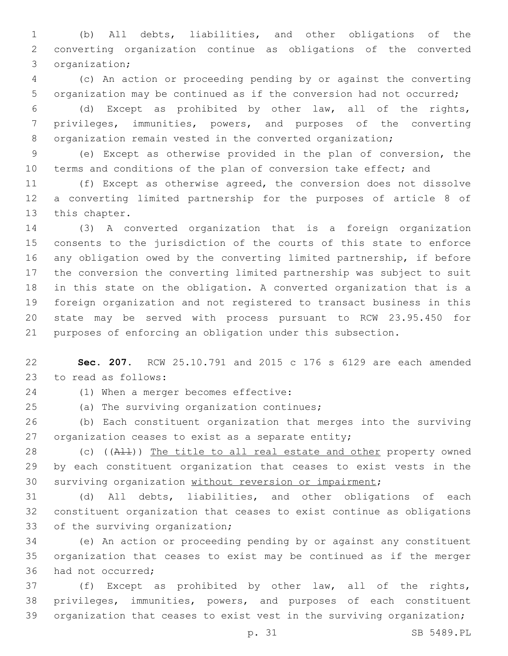(b) All debts, liabilities, and other obligations of the converting organization continue as obligations of the converted 3 organization;

 (c) An action or proceeding pending by or against the converting organization may be continued as if the conversion had not occurred;

 (d) Except as prohibited by other law, all of the rights, privileges, immunities, powers, and purposes of the converting 8 organization remain vested in the converted organization;

 (e) Except as otherwise provided in the plan of conversion, the 10 terms and conditions of the plan of conversion take effect; and

 (f) Except as otherwise agreed, the conversion does not dissolve a converting limited partnership for the purposes of article 8 of 13 this chapter.

 (3) A converted organization that is a foreign organization consents to the jurisdiction of the courts of this state to enforce any obligation owed by the converting limited partnership, if before the conversion the converting limited partnership was subject to suit in this state on the obligation. A converted organization that is a foreign organization and not registered to transact business in this state may be served with process pursuant to RCW 23.95.450 for purposes of enforcing an obligation under this subsection.

 **Sec. 207.** RCW 25.10.791 and 2015 c 176 s 6129 are each amended 23 to read as follows:

24 (1) When a merger becomes effective:

(a) The surviving organization continues;25

 (b) Each constituent organization that merges into the surviving organization ceases to exist as a separate entity;

28 (c)  $((A11))$  The title to all real estate and other property owned by each constituent organization that ceases to exist vests in the surviving organization without reversion or impairment;

 (d) All debts, liabilities, and other obligations of each constituent organization that ceases to exist continue as obligations 33 of the surviving organization;

 (e) An action or proceeding pending by or against any constituent organization that ceases to exist may be continued as if the merger 36 had not occurred:

 (f) Except as prohibited by other law, all of the rights, privileges, immunities, powers, and purposes of each constituent organization that ceases to exist vest in the surviving organization;

p. 31 SB 5489.PL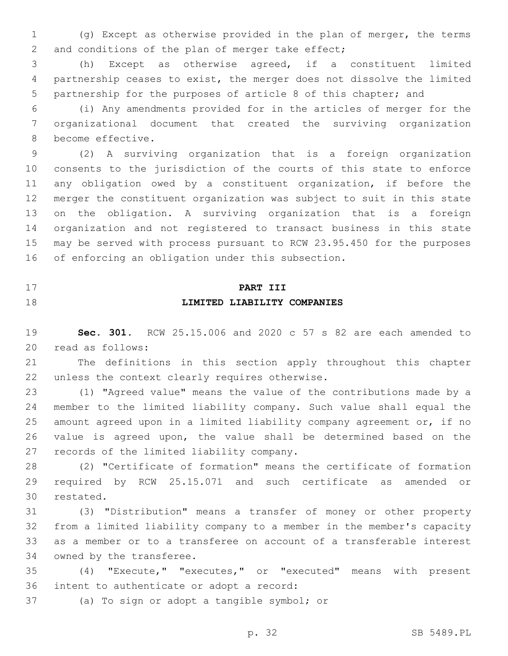(g) Except as otherwise provided in the plan of merger, the terms 2 and conditions of the plan of merger take effect;

 (h) Except as otherwise agreed, if a constituent limited partnership ceases to exist, the merger does not dissolve the limited partnership for the purposes of article 8 of this chapter; and

 (i) Any amendments provided for in the articles of merger for the organizational document that created the surviving organization 8 become effective.

 (2) A surviving organization that is a foreign organization consents to the jurisdiction of the courts of this state to enforce any obligation owed by a constituent organization, if before the merger the constituent organization was subject to suit in this state on the obligation. A surviving organization that is a foreign organization and not registered to transact business in this state may be served with process pursuant to RCW 23.95.450 for the purposes 16 of enforcing an obligation under this subsection.

# **PART III LIMITED LIABILITY COMPANIES**

 **Sec. 301.** RCW 25.15.006 and 2020 c 57 s 82 are each amended to read as follows:20

 The definitions in this section apply throughout this chapter 22 unless the context clearly requires otherwise.

 (1) "Agreed value" means the value of the contributions made by a member to the limited liability company. Such value shall equal the amount agreed upon in a limited liability company agreement or, if no value is agreed upon, the value shall be determined based on the 27 records of the limited liability company.

 (2) "Certificate of formation" means the certificate of formation required by RCW 25.15.071 and such certificate as amended or 30 restated.

 (3) "Distribution" means a transfer of money or other property from a limited liability company to a member in the member's capacity as a member or to a transferee on account of a transferable interest 34 owned by the transferee.

 (4) "Execute," "executes," or "executed" means with present 36 intent to authenticate or adopt a record:

37 (a) To sign or adopt a tangible symbol; or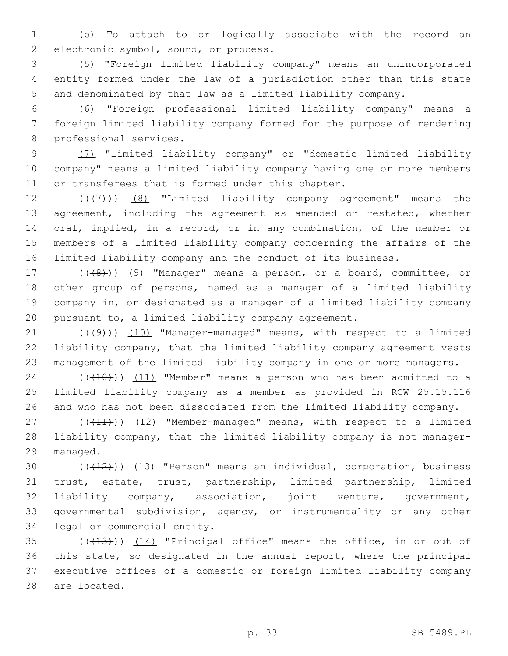(b) To attach to or logically associate with the record an 2 electronic symbol, sound, or process.

 (5) "Foreign limited liability company" means an unincorporated entity formed under the law of a jurisdiction other than this state and denominated by that law as a limited liability company.

 (6) "Foreign professional limited liability company" means a foreign limited liability company formed for the purpose of rendering professional services.

 (7) "Limited liability company" or "domestic limited liability company" means a limited liability company having one or more members 11 or transferees that is formed under this chapter.

12 (((7)) (8) "Limited liability company agreement" means the agreement, including the agreement as amended or restated, whether oral, implied, in a record, or in any combination, of the member or members of a limited liability company concerning the affairs of the limited liability company and the conduct of its business.

17 (((8)) (9) "Manager" means a person, or a board, committee, or other group of persons, named as a manager of a limited liability company in, or designated as a manager of a limited liability company pursuant to, a limited liability company agreement.

 $((+9)$ )  $(10)$  "Manager-managed" means, with respect to a limited liability company, that the limited liability company agreement vests management of the limited liability company in one or more managers.

 $(110)$  (( $(10)$ )) (11) "Member" means a person who has been admitted to a limited liability company as a member as provided in RCW 25.15.116 and who has not been dissociated from the limited liability company.

27 (((11))) (12) "Member-managed" means, with respect to a limited liability company, that the limited liability company is not manager-29 managed.

 $((+12))$   $(13)$  "Person" means an individual, corporation, business trust, estate, trust, partnership, limited partnership, limited liability company, association, joint venture, government, governmental subdivision, agency, or instrumentality or any other 34 legal or commercial entity.

 $(13)$  ( $(14)$ ) (14) "Principal office" means the office, in or out of this state, so designated in the annual report, where the principal executive offices of a domestic or foreign limited liability company 38 are located.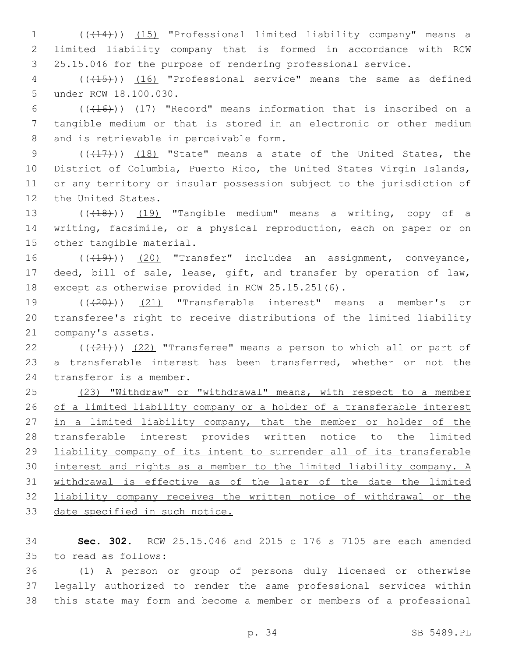1 (((14))) (15) "Professional limited liability company" means a 2 limited liability company that is formed in accordance with RCW 3 25.15.046 for the purpose of rendering professional service.

4 (( $(15)$ )) (16) "Professional service" means the same as defined 5 under RCW 18.100.030.

6  $((+16))$   $(17)$  "Record" means information that is inscribed on a 7 tangible medium or that is stored in an electronic or other medium 8 and is retrievable in perceivable form.

9 (( $(17)$ )) (18) "State" means a state of the United States, the 10 District of Columbia, Puerto Rico, the United States Virgin Islands, 11 or any territory or insular possession subject to the jurisdiction of 12 the United States.

13 (((18))) (19) "Tangible medium" means a writing, copy of a 14 writing, facsimile, or a physical reproduction, each on paper or on 15 other tangible material.

16 (((19))) (20) "Transfer" includes an assignment, conveyance, 17 deed, bill of sale, lease, gift, and transfer by operation of law, 18 except as otherwise provided in RCW 25.15.251(6).

19 (((20))) (21) "Transferable interest" means a member's or 20 transferee's right to receive distributions of the limited liability 21 company's assets.

22  $((+21))$   $(22)$  "Transferee" means a person to which all or part of 23 a transferable interest has been transferred, whether or not the 24 transferor is a member.

 (23) "Withdraw" or "withdrawal" means, with respect to a member 26 of a limited liability company or a holder of a transferable interest 27 in a limited liability company, that the member or holder of the transferable interest provides written notice to the limited liability company of its intent to surrender all of its transferable interest and rights as a member to the limited liability company. A withdrawal is effective as of the later of the date the limited liability company receives the written notice of withdrawal or the date specified in such notice.

34 **Sec. 302.** RCW 25.15.046 and 2015 c 176 s 7105 are each amended to read as follows:35

36 (1) A person or group of persons duly licensed or otherwise 37 legally authorized to render the same professional services within 38 this state may form and become a member or members of a professional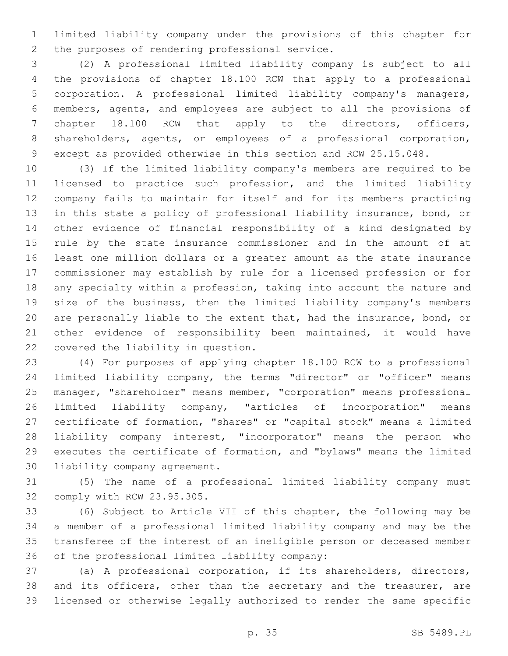limited liability company under the provisions of this chapter for 2 the purposes of rendering professional service.

 (2) A professional limited liability company is subject to all the provisions of chapter 18.100 RCW that apply to a professional corporation. A professional limited liability company's managers, members, agents, and employees are subject to all the provisions of chapter 18.100 RCW that apply to the directors, officers, shareholders, agents, or employees of a professional corporation, except as provided otherwise in this section and RCW 25.15.048.

 (3) If the limited liability company's members are required to be licensed to practice such profession, and the limited liability company fails to maintain for itself and for its members practicing in this state a policy of professional liability insurance, bond, or other evidence of financial responsibility of a kind designated by rule by the state insurance commissioner and in the amount of at least one million dollars or a greater amount as the state insurance commissioner may establish by rule for a licensed profession or for any specialty within a profession, taking into account the nature and size of the business, then the limited liability company's members are personally liable to the extent that, had the insurance, bond, or other evidence of responsibility been maintained, it would have 22 covered the liability in question.

 (4) For purposes of applying chapter 18.100 RCW to a professional limited liability company, the terms "director" or "officer" means manager, "shareholder" means member, "corporation" means professional limited liability company, "articles of incorporation" means certificate of formation, "shares" or "capital stock" means a limited liability company interest, "incorporator" means the person who executes the certificate of formation, and "bylaws" means the limited 30 liability company agreement.

 (5) The name of a professional limited liability company must 32 comply with RCW 23.95.305.

 (6) Subject to Article VII of this chapter, the following may be a member of a professional limited liability company and may be the transferee of the interest of an ineligible person or deceased member 36 of the professional limited liability company:

 (a) A professional corporation, if its shareholders, directors, 38 and its officers, other than the secretary and the treasurer, are licensed or otherwise legally authorized to render the same specific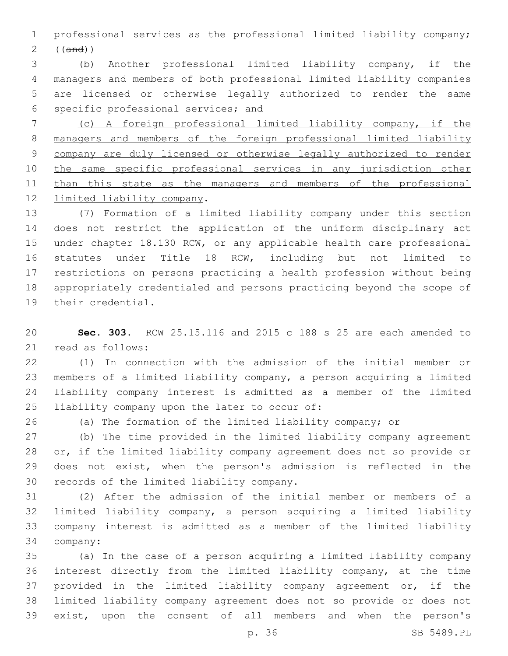professional services as the professional limited liability company; ((and))

 (b) Another professional limited liability company, if the managers and members of both professional limited liability companies are licensed or otherwise legally authorized to render the same specific professional services; and

 (c) A foreign professional limited liability company, if the managers and members of the foreign professional limited liability company are duly licensed or otherwise legally authorized to render the same specific professional services in any jurisdiction other 11 than this state as the managers and members of the professional 12 limited liability company.

 (7) Formation of a limited liability company under this section does not restrict the application of the uniform disciplinary act under chapter 18.130 RCW, or any applicable health care professional statutes under Title 18 RCW, including but not limited to restrictions on persons practicing a health profession without being appropriately credentialed and persons practicing beyond the scope of 19 their credential.

 **Sec. 303.** RCW 25.15.116 and 2015 c 188 s 25 are each amended to 21 read as follows:

 (1) In connection with the admission of the initial member or members of a limited liability company, a person acquiring a limited liability company interest is admitted as a member of the limited 25 liability company upon the later to occur of:

(a) The formation of the limited liability company; or

 (b) The time provided in the limited liability company agreement or, if the limited liability company agreement does not so provide or does not exist, when the person's admission is reflected in the 30 records of the limited liability company.

 (2) After the admission of the initial member or members of a limited liability company, a person acquiring a limited liability company interest is admitted as a member of the limited liability 34 company:

 (a) In the case of a person acquiring a limited liability company interest directly from the limited liability company, at the time provided in the limited liability company agreement or, if the limited liability company agreement does not so provide or does not exist, upon the consent of all members and when the person's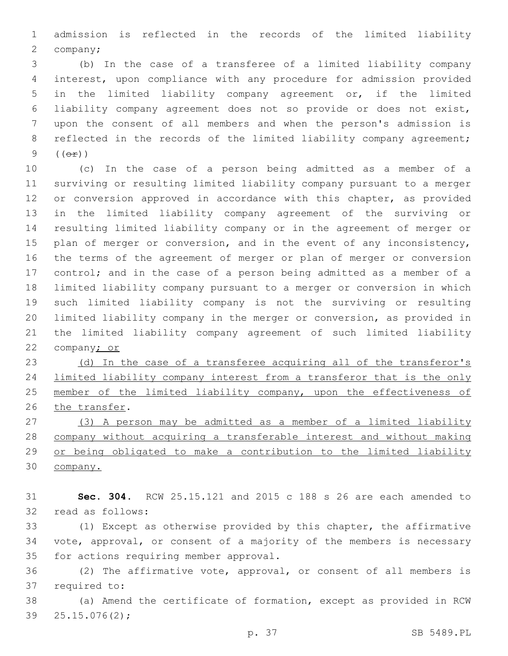admission is reflected in the records of the limited liability 2 company;

 (b) In the case of a transferee of a limited liability company interest, upon compliance with any procedure for admission provided in the limited liability company agreement or, if the limited liability company agreement does not so provide or does not exist, upon the consent of all members and when the person's admission is 8 reflected in the records of the limited liability company agreement; (( $\Theta$  $\hat{r}$ ))

 (c) In the case of a person being admitted as a member of a surviving or resulting limited liability company pursuant to a merger or conversion approved in accordance with this chapter, as provided in the limited liability company agreement of the surviving or resulting limited liability company or in the agreement of merger or 15 plan of merger or conversion, and in the event of any inconsistency, the terms of the agreement of merger or plan of merger or conversion control; and in the case of a person being admitted as a member of a limited liability company pursuant to a merger or conversion in which such limited liability company is not the surviving or resulting limited liability company in the merger or conversion, as provided in the limited liability company agreement of such limited liability company; or

23 (d) In the case of a transferee acquiring all of the transferor's limited liability company interest from a transferor that is the only 25 member of the limited liability company, upon the effectiveness of 26 the transfer.

 (3) A person may be admitted as a member of a limited liability company without acquiring a transferable interest and without making or being obligated to make a contribution to the limited liability company.

 **Sec. 304.** RCW 25.15.121 and 2015 c 188 s 26 are each amended to 32 read as follows:

 (1) Except as otherwise provided by this chapter, the affirmative vote, approval, or consent of a majority of the members is necessary 35 for actions requiring member approval.

 (2) The affirmative vote, approval, or consent of all members is 37 required to:

 (a) Amend the certificate of formation, except as provided in RCW 39  $25.15.076(2)$ ;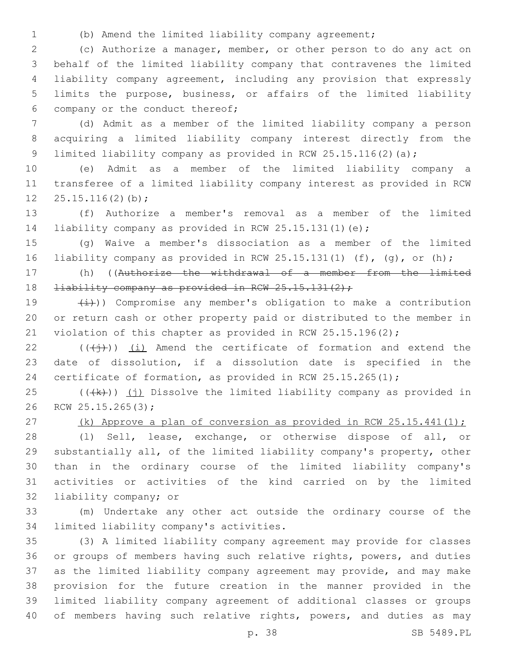- 
- (b) Amend the limited liability company agreement;

 (c) Authorize a manager, member, or other person to do any act on behalf of the limited liability company that contravenes the limited liability company agreement, including any provision that expressly limits the purpose, business, or affairs of the limited liability 6 company or the conduct thereof;

 (d) Admit as a member of the limited liability company a person acquiring a limited liability company interest directly from the 9 limited liability company as provided in RCW 25.15.116(2)(a);

 (e) Admit as a member of the limited liability company a transferee of a limited liability company interest as provided in RCW  $25.15.116(2)(b)$ ;

 (f) Authorize a member's removal as a member of the limited liability company as provided in RCW 25.15.131(1)(e);

 (g) Waive a member's dissociation as a member of the limited liability company as provided in RCW 25.15.131(1) (f), (g), or (h);

 (h) ((Authorize the withdrawal of a member from the limited 18 <del>liability company as provided in RCW 25.15.131(2);</del>

19  $(\frac{1}{1})$ ) Compromise any member's obligation to make a contribution or return cash or other property paid or distributed to the member in 21 violation of this chapter as provided in RCW 25.15.196(2);

 (( $(\overrightarrow{1})$ ) (i) Amend the certificate of formation and extend the date of dissolution, if a dissolution date is specified in the certificate of formation, as provided in RCW 25.15.265(1);

 (( $\frac{1}{k}$ )) (j) Dissolve the limited liability company as provided in 26 RCW 25.15.265(3);

27 (k) Approve a plan of conversion as provided in RCW  $25.15.441(1)$ ;

 (l) Sell, lease, exchange, or otherwise dispose of all, or substantially all, of the limited liability company's property, other than in the ordinary course of the limited liability company's activities or activities of the kind carried on by the limited 32 liability company; or

 (m) Undertake any other act outside the ordinary course of the 34 limited liability company's activities.

 (3) A limited liability company agreement may provide for classes or groups of members having such relative rights, powers, and duties as the limited liability company agreement may provide, and may make provision for the future creation in the manner provided in the limited liability company agreement of additional classes or groups 40 of members having such relative rights, powers, and duties as may

p. 38 SB 5489.PL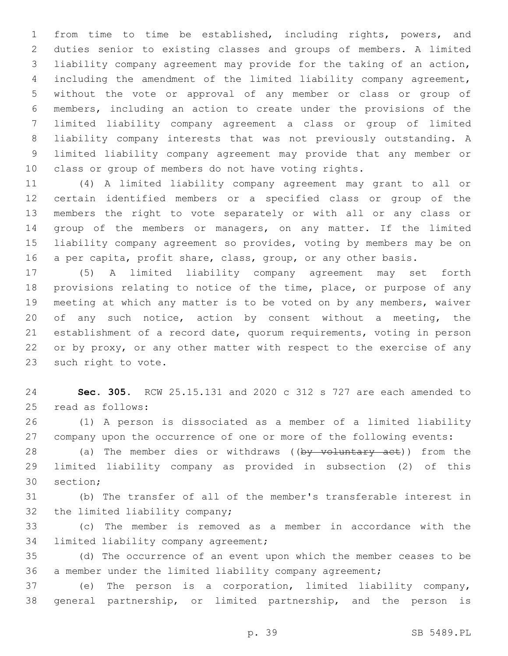from time to time be established, including rights, powers, and duties senior to existing classes and groups of members. A limited liability company agreement may provide for the taking of an action, including the amendment of the limited liability company agreement, without the vote or approval of any member or class or group of members, including an action to create under the provisions of the limited liability company agreement a class or group of limited liability company interests that was not previously outstanding. A limited liability company agreement may provide that any member or class or group of members do not have voting rights.

 (4) A limited liability company agreement may grant to all or certain identified members or a specified class or group of the members the right to vote separately or with all or any class or group of the members or managers, on any matter. If the limited liability company agreement so provides, voting by members may be on a per capita, profit share, class, group, or any other basis.

 (5) A limited liability company agreement may set forth provisions relating to notice of the time, place, or purpose of any meeting at which any matter is to be voted on by any members, waiver 20 of any such notice, action by consent without a meeting, the establishment of a record date, quorum requirements, voting in person or by proxy, or any other matter with respect to the exercise of any 23 such right to vote.

 **Sec. 305.** RCW 25.15.131 and 2020 c 312 s 727 are each amended to 25 read as follows:

 (1) A person is dissociated as a member of a limited liability company upon the occurrence of one or more of the following events:

28 (a) The member dies or withdraws ((by voluntary act)) from the limited liability company as provided in subsection (2) of this 30 section;

 (b) The transfer of all of the member's transferable interest in 32 the limited liability company;

 (c) The member is removed as a member in accordance with the 34 limited liability company agreement;

 (d) The occurrence of an event upon which the member ceases to be a member under the limited liability company agreement;

 (e) The person is a corporation, limited liability company, general partnership, or limited partnership, and the person is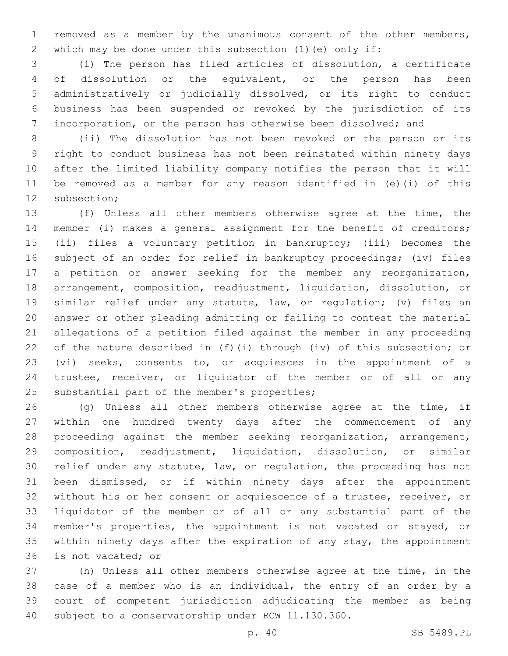removed as a member by the unanimous consent of the other members, which may be done under this subsection (1)(e) only if:

 (i) The person has filed articles of dissolution, a certificate of dissolution or the equivalent, or the person has been administratively or judicially dissolved, or its right to conduct business has been suspended or revoked by the jurisdiction of its incorporation, or the person has otherwise been dissolved; and

 (ii) The dissolution has not been revoked or the person or its right to conduct business has not been reinstated within ninety days after the limited liability company notifies the person that it will be removed as a member for any reason identified in (e)(i) of this 12 subsection;

 (f) Unless all other members otherwise agree at the time, the member (i) makes a general assignment for the benefit of creditors; (ii) files a voluntary petition in bankruptcy; (iii) becomes the subject of an order for relief in bankruptcy proceedings; (iv) files a petition or answer seeking for the member any reorganization, arrangement, composition, readjustment, liquidation, dissolution, or similar relief under any statute, law, or regulation; (v) files an answer or other pleading admitting or failing to contest the material allegations of a petition filed against the member in any proceeding of the nature described in (f)(i) through (iv) of this subsection; or (vi) seeks, consents to, or acquiesces in the appointment of a trustee, receiver, or liquidator of the member or of all or any 25 substantial part of the member's properties;

 (g) Unless all other members otherwise agree at the time, if within one hundred twenty days after the commencement of any proceeding against the member seeking reorganization, arrangement, composition, readjustment, liquidation, dissolution, or similar relief under any statute, law, or regulation, the proceeding has not been dismissed, or if within ninety days after the appointment without his or her consent or acquiescence of a trustee, receiver, or liquidator of the member or of all or any substantial part of the member's properties, the appointment is not vacated or stayed, or within ninety days after the expiration of any stay, the appointment 36 is not vacated; or

 (h) Unless all other members otherwise agree at the time, in the case of a member who is an individual, the entry of an order by a court of competent jurisdiction adjudicating the member as being subject to a conservatorship under RCW 11.130.360.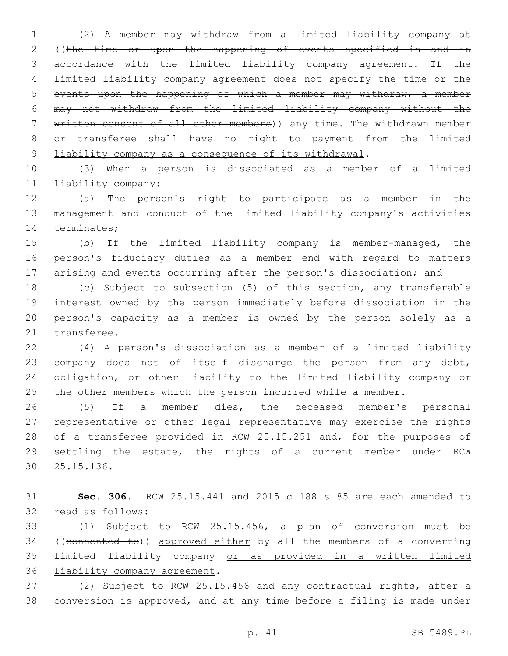(2) A member may withdraw from a limited liability company at ((the time or upon the happening of events specified in and in accordance with the limited liability company agreement. If the limited liability company agreement does not specify the time or the events upon the happening of which a member may withdraw, a member may not withdraw from the limited liability company without the written consent of all other members)) any time. The withdrawn member or transferee shall have no right to payment from the limited 9 liability company as a consequence of its withdrawal.

 (3) When a person is dissociated as a member of a limited liability company:11

 (a) The person's right to participate as a member in the management and conduct of the limited liability company's activities 14 terminates;

 (b) If the limited liability company is member-managed, the person's fiduciary duties as a member end with regard to matters arising and events occurring after the person's dissociation; and

 (c) Subject to subsection (5) of this section, any transferable interest owned by the person immediately before dissociation in the person's capacity as a member is owned by the person solely as a 21 transferee.

 (4) A person's dissociation as a member of a limited liability company does not of itself discharge the person from any debt, obligation, or other liability to the limited liability company or 25 the other members which the person incurred while a member.

 (5) If a member dies, the deceased member's personal representative or other legal representative may exercise the rights of a transferee provided in RCW 25.15.251 and, for the purposes of settling the estate, the rights of a current member under RCW 25.15.136.30

 **Sec. 306.** RCW 25.15.441 and 2015 c 188 s 85 are each amended to 32 read as follows:

 (1) Subject to RCW 25.15.456, a plan of conversion must be 34 ((consented to)) approved either by all the members of a converting limited liability company or as provided in a written limited 36 liability company agreement.

 (2) Subject to RCW 25.15.456 and any contractual rights, after a conversion is approved, and at any time before a filing is made under